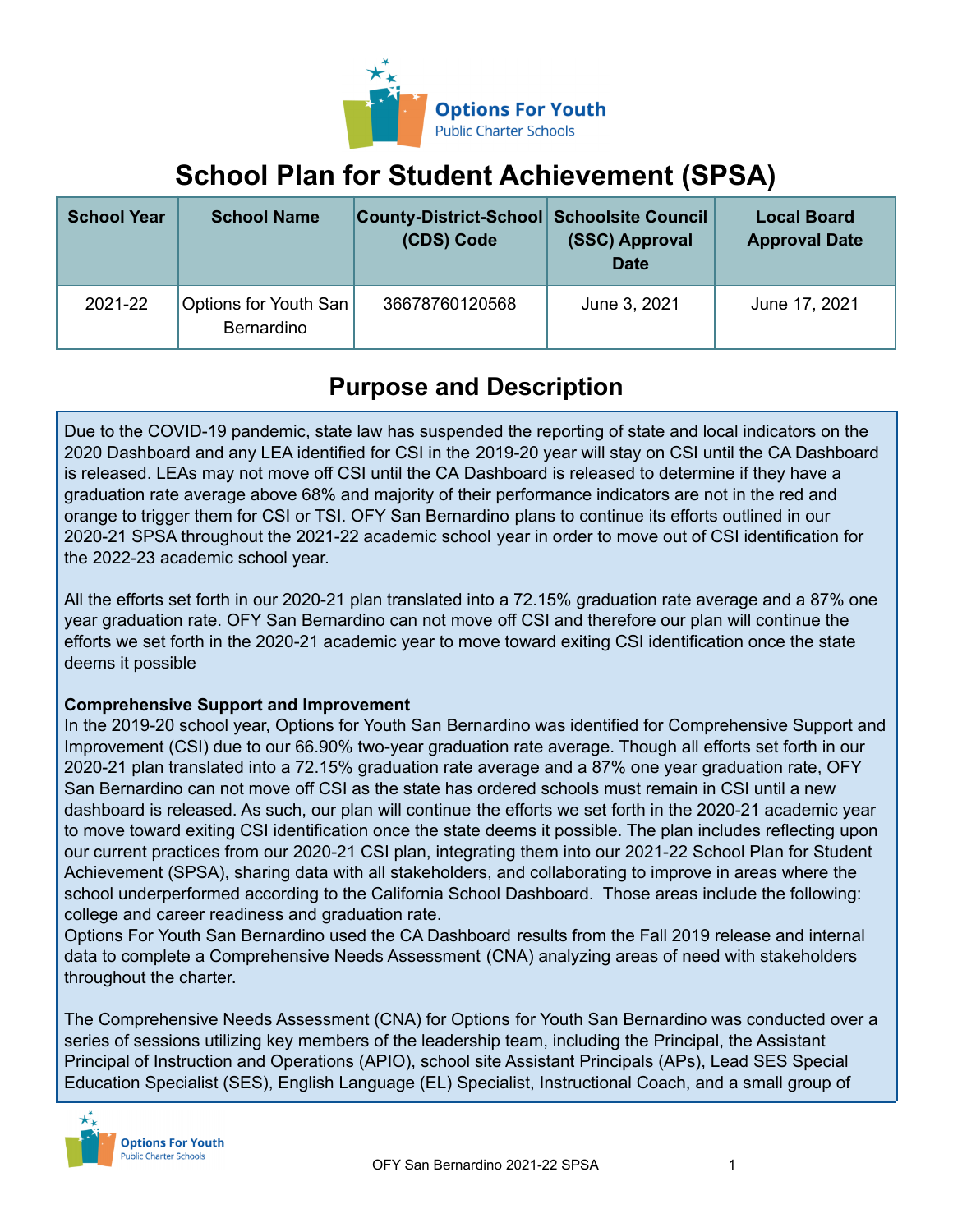

# **School Plan for Student Achievement (SPSA)**

| <b>School Year</b> | <b>School Name</b>                  | County-District-School Schoolsite Council<br>(CDS) Code | (SSC) Approval<br><b>Date</b> | <b>Local Board</b><br><b>Approval Date</b> |
|--------------------|-------------------------------------|---------------------------------------------------------|-------------------------------|--------------------------------------------|
| 2021-22            | Options for Youth San<br>Bernardino | 36678760120568                                          | June 3, 2021                  | June 17, 2021                              |

# **Purpose and Description**

Due to the COVID-19 pandemic, state law has suspended the reporting of state and local indicators on the 2020 Dashboard and any LEA identified for CSI in the 2019-20 year will stay on CSI until the CA Dashboard is released. LEAs may not move off CSI until the CA Dashboard is released to determine if they have a graduation rate average above 68% and majority of their performance indicators are not in the red and orange to trigger them for CSI or TSI. OFY San Bernardino plans to continue its efforts outlined in our 2020-21 SPSA throughout the 2021-22 academic school year in order to move out of CSI identification for the 2022-23 academic school year.

All the efforts set forth in our 2020-21 plan translated into a 72.15% graduation rate average and a 87% one year graduation rate. OFY San Bernardino can not move off CSI and therefore our plan will continue the efforts we set forth in the 2020-21 academic year to move toward exiting CSI identification once the state deems it possible

#### **Comprehensive Support and Improvement**

In the 2019-20 school year, Options for Youth San Bernardino was identified for Comprehensive Support and Improvement (CSI) due to our 66.90% two-year graduation rate average. Though all efforts set forth in our 2020-21 plan translated into a 72.15% graduation rate average and a 87% one year graduation rate, OFY San Bernardino can not move off CSI as the state has ordered schools must remain in CSI until a new dashboard is released. As such, our plan will continue the efforts we set forth in the 2020-21 academic year to move toward exiting CSI identification once the state deems it possible. The plan includes reflecting upon our current practices from our 2020-21 CSI plan, integrating them into our 2021-22 School Plan for Student Achievement (SPSA), sharing data with all stakeholders, and collaborating to improve in areas where the school underperformed according to the California School Dashboard. Those areas include the following: college and career readiness and graduation rate.

Options For Youth San Bernardino used the CA Dashboard results from the Fall 2019 release and internal data to complete a Comprehensive Needs Assessment (CNA) analyzing areas of need with stakeholders throughout the charter.

The Comprehensive Needs Assessment (CNA) for Options for Youth San Bernardino was conducted over a series of sessions utilizing key members of the leadership team, including the Principal, the Assistant Principal of Instruction and Operations (APIO), school site Assistant Principals (APs), Lead SES Special Education Specialist (SES), English Language (EL) Specialist, Instructional Coach, and a small group of

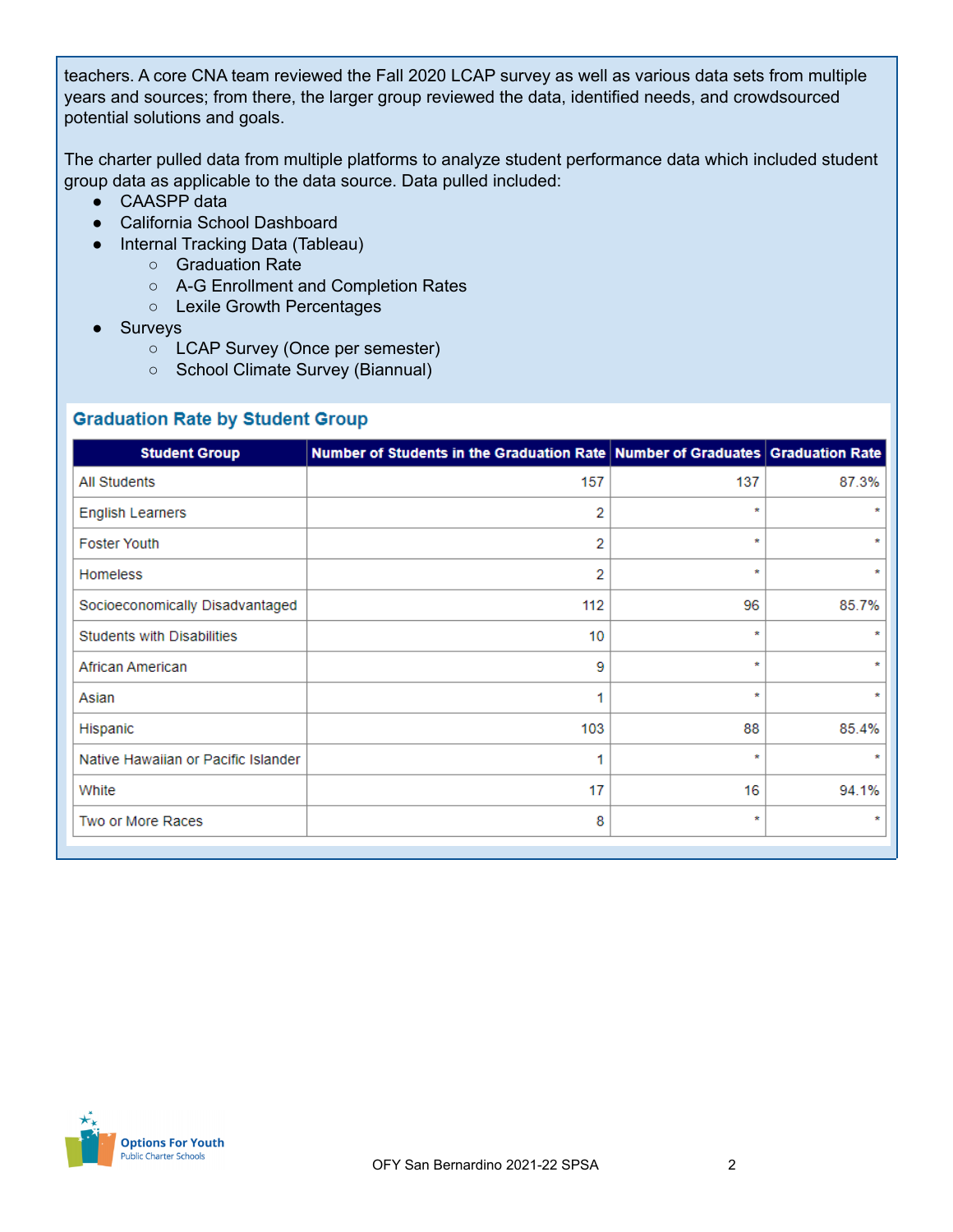teachers. A core CNA team reviewed the Fall 2020 LCAP survey as well as various data sets from multiple years and sources; from there, the larger group reviewed the data, identified needs, and crowdsourced potential solutions and goals.

The charter pulled data from multiple platforms to analyze student performance data which included student group data as applicable to the data source. Data pulled included:

- CAASPP data
- California School Dashboard
- Internal Tracking Data (Tableau)
	- Graduation Rate
	- A-G Enrollment and Completion Rates
	- Lexile Growth Percentages
- Surveys
	- LCAP Survey (Once per semester)
	- School Climate Survey (Biannual)

#### **Graduation Rate by Student Group**

| <b>Student Group</b>                | Number of Students in the Graduation Rate Number of Graduates Graduation Rate |         |         |
|-------------------------------------|-------------------------------------------------------------------------------|---------|---------|
| <b>All Students</b>                 | 157                                                                           | 137     | 87.3%   |
| <b>English Learners</b>             | 2                                                                             | $\star$ | ×       |
| <b>Foster Youth</b>                 | 2                                                                             | $\star$ | ×       |
| <b>Homeless</b>                     | 2                                                                             | $\star$ | ×       |
| Socioeconomically Disadvantaged     | 112                                                                           | 96      | 85.7%   |
| <b>Students with Disabilities</b>   | 10                                                                            | $\star$ | ÷       |
| African American                    | 9                                                                             | $\star$ | ×       |
| Asian                               | 1                                                                             | $\star$ | $\star$ |
| Hispanic                            | 103                                                                           | 88      | 85.4%   |
| Native Hawaiian or Pacific Islander | 1                                                                             | $\star$ |         |
| White                               | 17                                                                            | 16      | 94.1%   |
| Two or More Races                   | 8                                                                             | $\star$ | ÷       |
|                                     |                                                                               |         |         |

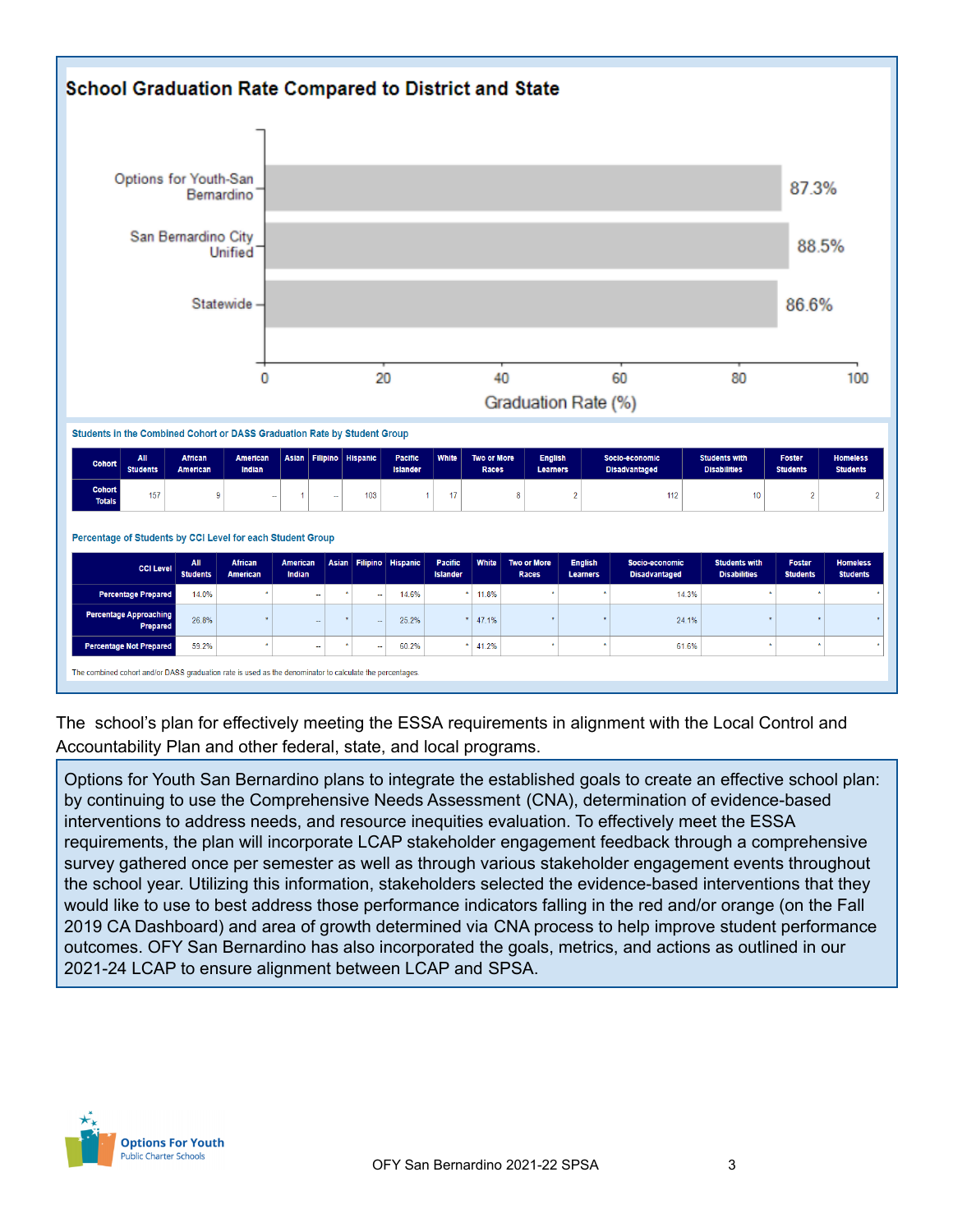

The school's plan for effectively meeting the ESSA requirements in alignment with the Local Control and Accountability Plan and other federal, state, and local programs.

Options for Youth San Bernardino plans to integrate the established goals to create an effective school plan: by continuing to use the Comprehensive Needs Assessment (CNA), determination of evidence-based interventions to address needs, and resource inequities evaluation. To effectively meet the ESSA requirements, the plan will incorporate LCAP stakeholder engagement feedback through a comprehensive survey gathered once per semester as well as through various stakeholder engagement events throughout the school year. Utilizing this information, stakeholders selected the evidence-based interventions that they would like to use to best address those performance indicators falling in the red and/or orange (on the Fall 2019 CA Dashboard) and area of growth determined via CNA process to help improve student performance outcomes. OFY San Bernardino has also incorporated the goals, metrics, and actions as outlined in our 2021-24 LCAP to ensure alignment between LCAP and SPSA.

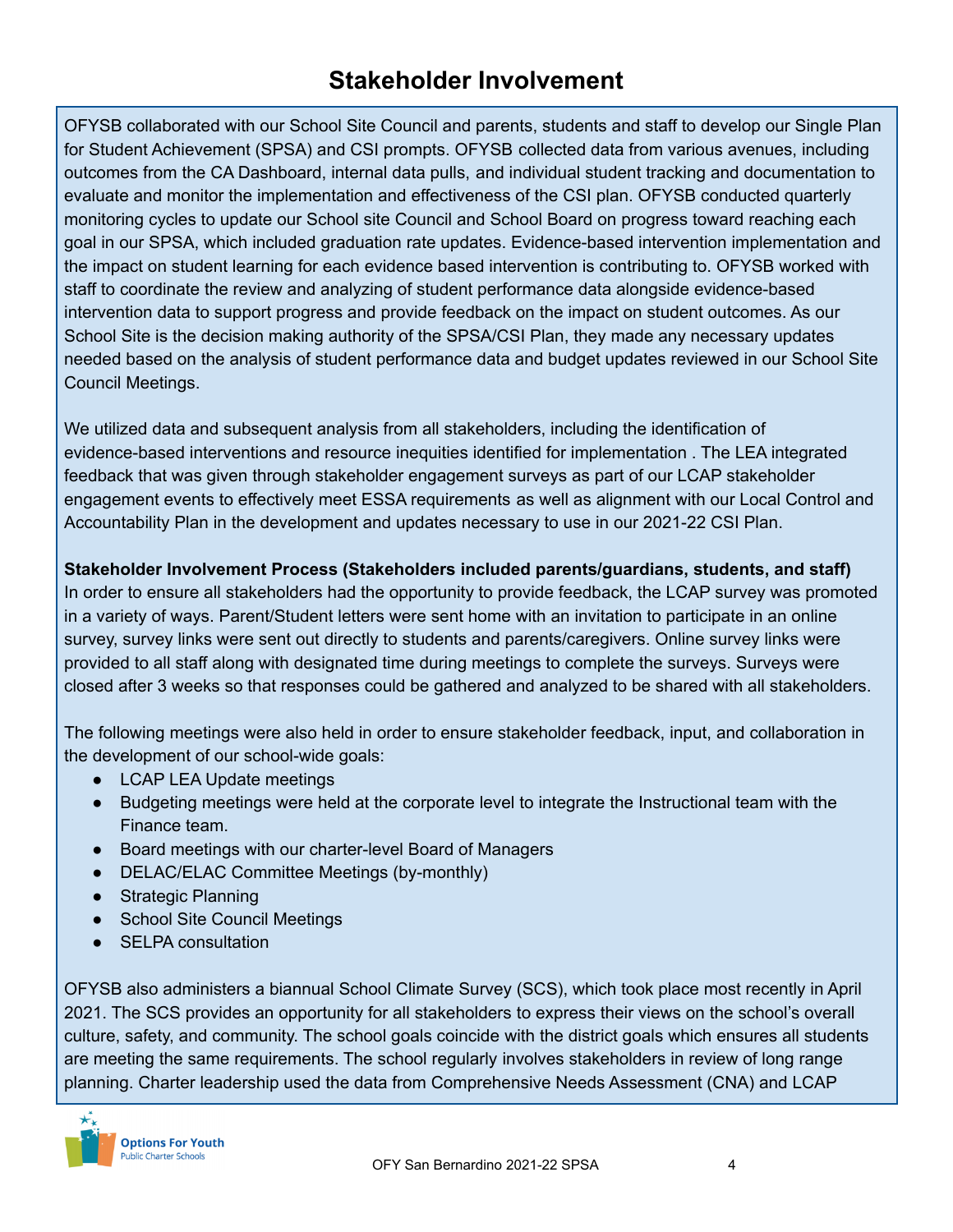OFYSB collaborated with our School Site Council and parents, students and staff to develop our Single Plan for Student Achievement (SPSA) and CSI prompts. OFYSB collected data from various avenues, including outcomes from the CA Dashboard, internal data pulls, and individual student tracking and documentation to evaluate and monitor the implementation and effectiveness of the CSI plan. OFYSB conducted quarterly monitoring cycles to update our School site Council and School Board on progress toward reaching each goal in our SPSA, which included graduation rate updates. Evidence-based intervention implementation and the impact on student learning for each evidence based intervention is contributing to. OFYSB worked with staff to coordinate the review and analyzing of student performance data alongside evidence-based intervention data to support progress and provide feedback on the impact on student outcomes. As our School Site is the decision making authority of the SPSA/CSI Plan, they made any necessary updates needed based on the analysis of student performance data and budget updates reviewed in our School Site Council Meetings.

We utilized data and subsequent analysis from all stakeholders, including the identification of evidence-based interventions and resource inequities identified for implementation . The LEA integrated feedback that was given through stakeholder engagement surveys as part of our LCAP stakeholder engagement events to effectively meet ESSA requirements as well as alignment with our Local Control and Accountability Plan in the development and updates necessary to use in our 2021-22 CSI Plan.

**Stakeholder Involvement Process (Stakeholders included parents/guardians, students, and staff)** In order to ensure all stakeholders had the opportunity to provide feedback, the LCAP survey was promoted in a variety of ways. Parent/Student letters were sent home with an invitation to participate in an online survey, survey links were sent out directly to students and parents/caregivers. Online survey links were provided to all staff along with designated time during meetings to complete the surveys. Surveys were closed after 3 weeks so that responses could be gathered and analyzed to be shared with all stakeholders.

The following meetings were also held in order to ensure stakeholder feedback, input, and collaboration in the development of our school-wide goals:

- LCAP LEA Update meetings
- Budgeting meetings were held at the corporate level to integrate the Instructional team with the Finance team.
- Board meetings with our charter-level Board of Managers
- DELAC/ELAC Committee Meetings (by-monthly)
- Strategic Planning
- School Site Council Meetings
- **SELPA consultation**

OFYSB also administers a biannual School Climate Survey (SCS), which took place most recently in April 2021. The SCS provides an opportunity for all stakeholders to express their views on the school's overall culture, safety, and community. The school goals coincide with the district goals which ensures all students are meeting the same requirements. The school regularly involves stakeholders in review of long range planning. Charter leadership used the data from Comprehensive Needs Assessment (CNA) and LCAP

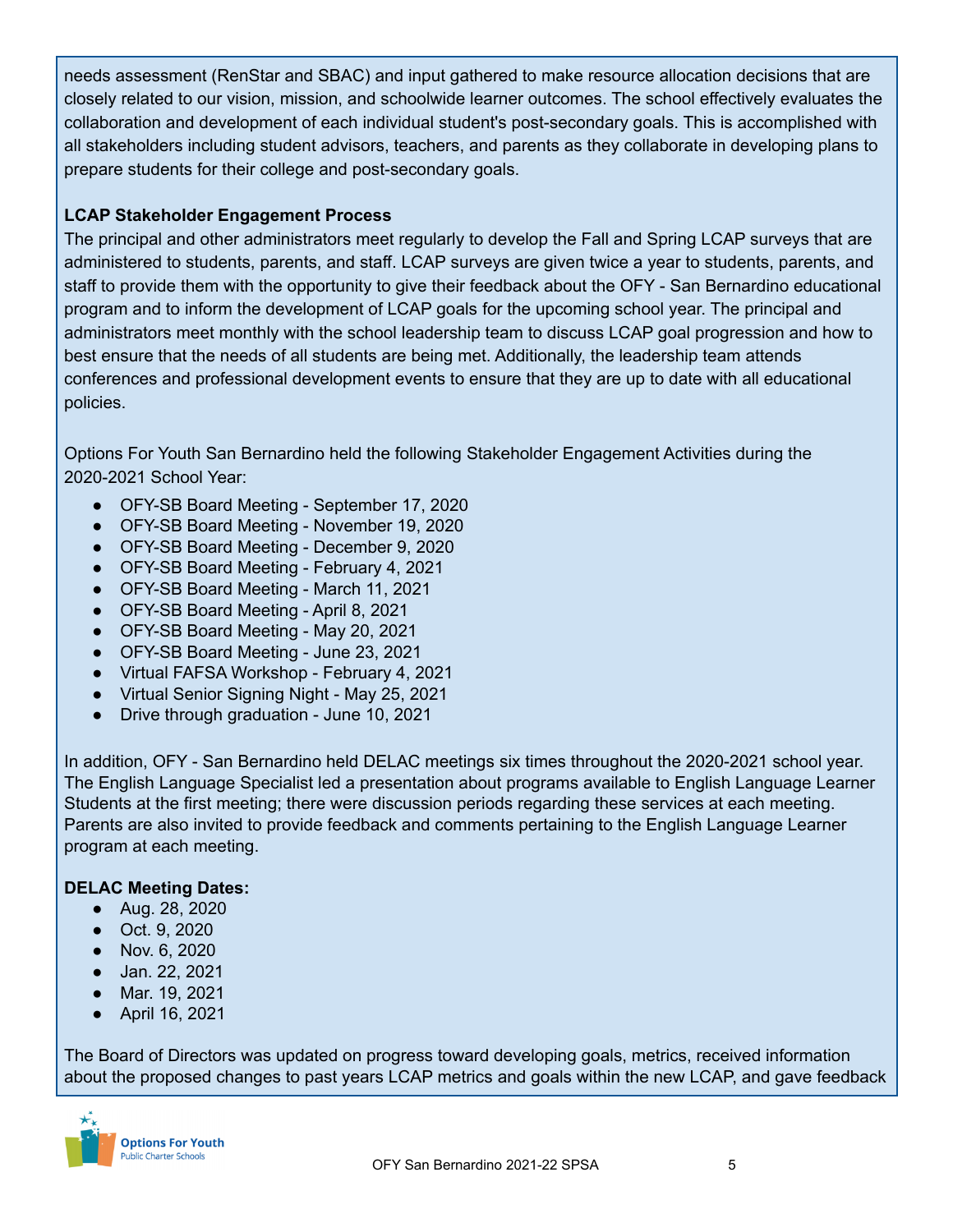needs assessment (RenStar and SBAC) and input gathered to make resource allocation decisions that are closely related to our vision, mission, and schoolwide learner outcomes. The school effectively evaluates the collaboration and development of each individual student's post-secondary goals. This is accomplished with all stakeholders including student advisors, teachers, and parents as they collaborate in developing plans to prepare students for their college and post-secondary goals.

#### **LCAP Stakeholder Engagement Process**

The principal and other administrators meet regularly to develop the Fall and Spring LCAP surveys that are administered to students, parents, and staff. LCAP surveys are given twice a year to students, parents, and staff to provide them with the opportunity to give their feedback about the OFY - San Bernardino educational program and to inform the development of LCAP goals for the upcoming school year. The principal and administrators meet monthly with the school leadership team to discuss LCAP goal progression and how to best ensure that the needs of all students are being met. Additionally, the leadership team attends conferences and professional development events to ensure that they are up to date with all educational policies.

Options For Youth San Bernardino held the following Stakeholder Engagement Activities during the 2020-2021 School Year:

- OFY-SB Board Meeting September 17, 2020
- OFY-SB Board Meeting November 19, 2020
- OFY-SB Board Meeting December 9, 2020
- OFY-SB Board Meeting February 4, 2021
- OFY-SB Board Meeting March 11, 2021
- OFY-SB Board Meeting April 8, 2021
- OFY-SB Board Meeting May 20, 2021
- OFY-SB Board Meeting June 23, 2021
- Virtual FAFSA Workshop February 4, 2021
- Virtual Senior Signing Night May 25, 2021
- Drive through graduation June 10, 2021

In addition, OFY - San Bernardino held DELAC meetings six times throughout the 2020-2021 school year. The English Language Specialist led a presentation about programs available to English Language Learner Students at the first meeting; there were discussion periods regarding these services at each meeting. Parents are also invited to provide feedback and comments pertaining to the English Language Learner program at each meeting.

#### **DELAC Meeting Dates:**

- Aug. 28, 2020
- Oct. 9, 2020
- Nov. 6, 2020
- Jan. 22, 2021
- Mar. 19, 2021
- April 16, 2021

The Board of Directors was updated on progress toward developing goals, metrics, received information about the proposed changes to past years LCAP metrics and goals within the new LCAP, and gave feedback

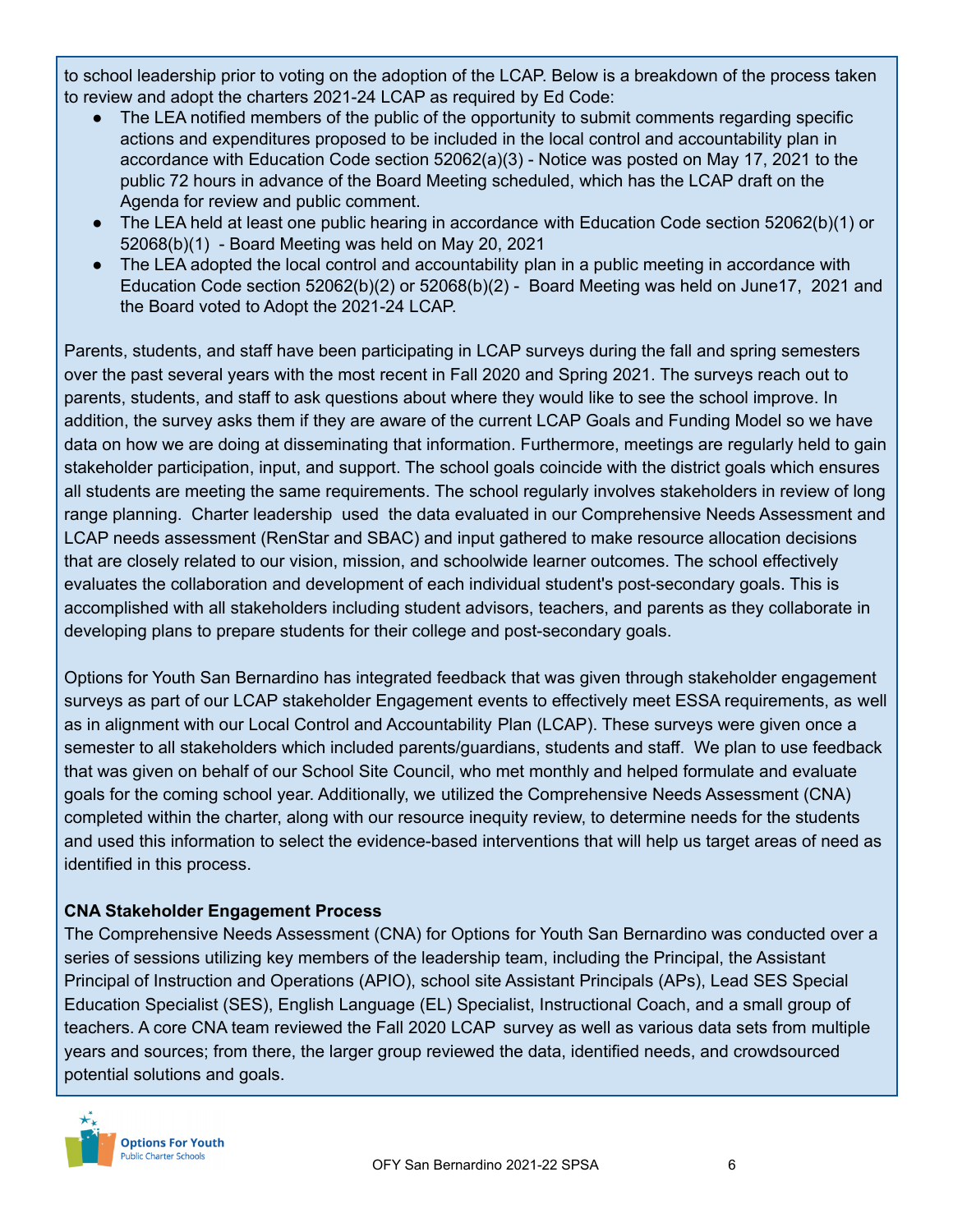to school leadership prior to voting on the adoption of the LCAP. Below is a breakdown of the process taken to review and adopt the charters 2021-24 LCAP as required by Ed Code:

- The LEA notified members of the public of the opportunity to submit comments regarding specific actions and expenditures proposed to be included in the local control and accountability plan in accordance with Education Code section 52062(a)(3) - Notice was posted on May 17, 2021 to the public 72 hours in advance of the Board Meeting scheduled, which has the LCAP draft on the Agenda for review and public comment.
- The LEA held at least one public hearing in accordance with Education Code section 52062(b)(1) or 52068(b)(1) - Board Meeting was held on May 20, 2021
- The LEA adopted the local control and accountability plan in a public meeting in accordance with Education Code section  $52062(b)(2)$  or  $52068(b)(2)$  - Board Meeting was held on June17, 2021 and the Board voted to Adopt the 2021-24 LCAP.

Parents, students, and staff have been participating in LCAP surveys during the fall and spring semesters over the past several years with the most recent in Fall 2020 and Spring 2021. The surveys reach out to parents, students, and staff to ask questions about where they would like to see the school improve. In addition, the survey asks them if they are aware of the current LCAP Goals and Funding Model so we have data on how we are doing at disseminating that information. Furthermore, meetings are regularly held to gain stakeholder participation, input, and support. The school goals coincide with the district goals which ensures all students are meeting the same requirements. The school regularly involves stakeholders in review of long range planning. Charter leadership used the data evaluated in our Comprehensive Needs Assessment and LCAP needs assessment (RenStar and SBAC) and input gathered to make resource allocation decisions that are closely related to our vision, mission, and schoolwide learner outcomes. The school effectively evaluates the collaboration and development of each individual student's post-secondary goals. This is accomplished with all stakeholders including student advisors, teachers, and parents as they collaborate in developing plans to prepare students for their college and post-secondary goals.

Options for Youth San Bernardino has integrated feedback that was given through stakeholder engagement surveys as part of our LCAP stakeholder Engagement events to effectively meet ESSA requirements, as well as in alignment with our Local Control and Accountability Plan (LCAP). These surveys were given once a semester to all stakeholders which included parents/guardians, students and staff. We plan to use feedback that was given on behalf of our School Site Council, who met monthly and helped formulate and evaluate goals for the coming school year. Additionally, we utilized the Comprehensive Needs Assessment (CNA) completed within the charter, along with our resource inequity review, to determine needs for the students and used this information to select the evidence-based interventions that will help us target areas of need as identified in this process.

#### **CNA Stakeholder Engagement Process**

The Comprehensive Needs Assessment (CNA) for Options for Youth San Bernardino was conducted over a series of sessions utilizing key members of the leadership team, including the Principal, the Assistant Principal of Instruction and Operations (APIO), school site Assistant Principals (APs), Lead SES Special Education Specialist (SES), English Language (EL) Specialist, Instructional Coach, and a small group of teachers. A core CNA team reviewed the Fall 2020 LCAP survey as well as various data sets from multiple years and sources; from there, the larger group reviewed the data, identified needs, and crowdsourced potential solutions and goals.

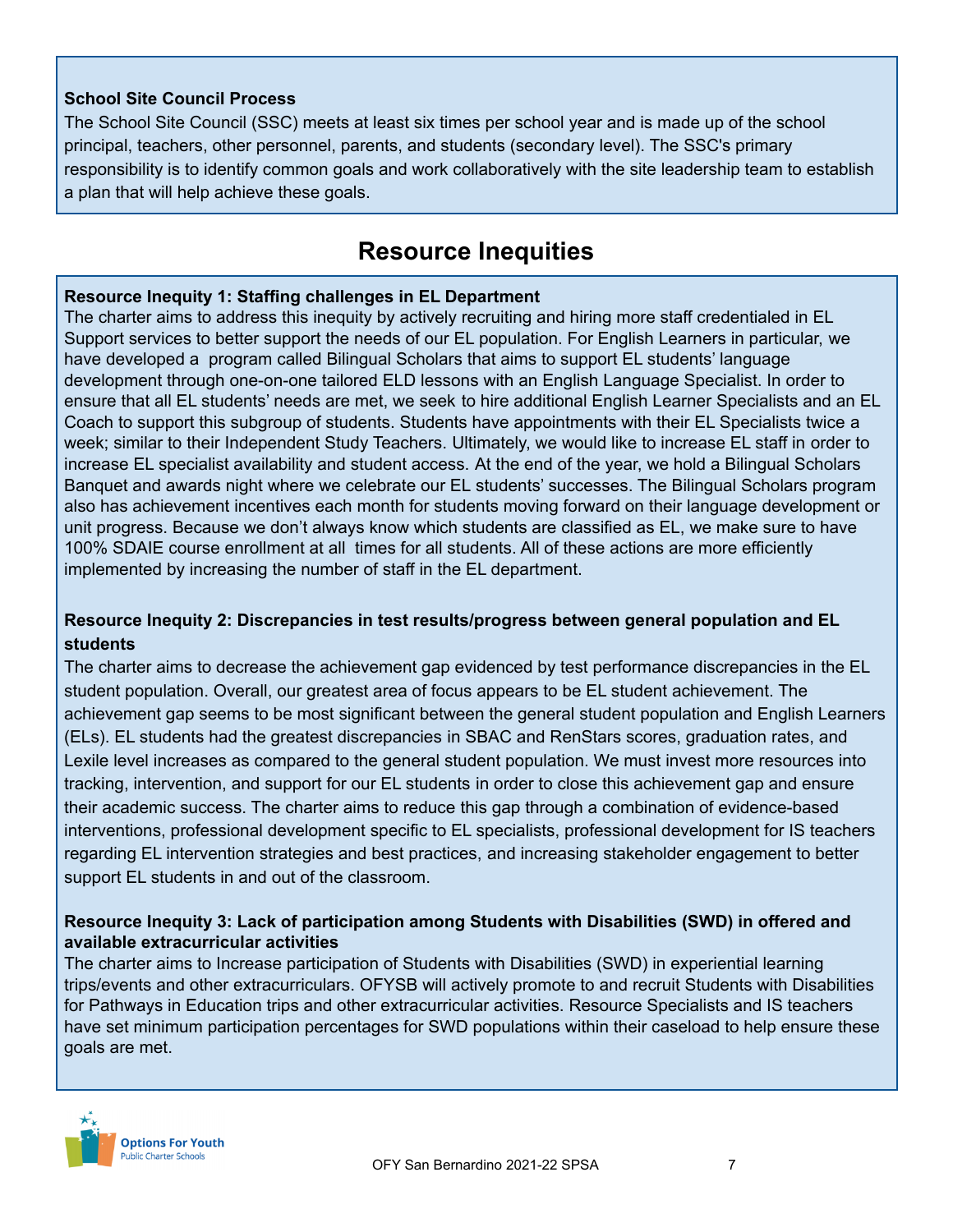#### **School Site Council Process**

The School Site Council (SSC) meets at least six times per school year and is made up of the school principal, teachers, other personnel, parents, and students (secondary level). The SSC's primary responsibility is to identify common goals and work collaboratively with the site leadership team to establish a plan that will help achieve these goals.

# **Resource Inequities**

#### **Resource Inequity 1: Staffing challenges in EL Department**

The charter aims to address this inequity by actively recruiting and hiring more staff credentialed in EL Support services to better support the needs of our EL population. For English Learners in particular, we have developed a program called Bilingual Scholars that aims to support EL students' language development through one-on-one tailored ELD lessons with an English Language Specialist. In order to ensure that all EL students' needs are met, we seek to hire additional English Learner Specialists and an EL Coach to support this subgroup of students. Students have appointments with their EL Specialists twice a week; similar to their Independent Study Teachers. Ultimately, we would like to increase EL staff in order to increase EL specialist availability and student access. At the end of the year, we hold a Bilingual Scholars Banquet and awards night where we celebrate our EL students' successes. The Bilingual Scholars program also has achievement incentives each month for students moving forward on their language development or unit progress. Because we don't always know which students are classified as EL, we make sure to have 100% SDAIE course enrollment at all times for all students. All of these actions are more efficiently implemented by increasing the number of staff in the EL department.

#### **Resource Inequity 2: Discrepancies in test results/progress between general population and EL students**

The charter aims to decrease the achievement gap evidenced by test performance discrepancies in the EL student population. Overall, our greatest area of focus appears to be EL student achievement. The achievement gap seems to be most significant between the general student population and English Learners (ELs). EL students had the greatest discrepancies in SBAC and RenStars scores, graduation rates, and Lexile level increases as compared to the general student population. We must invest more resources into tracking, intervention, and support for our EL students in order to close this achievement gap and ensure their academic success. The charter aims to reduce this gap through a combination of evidence-based interventions, professional development specific to EL specialists, professional development for IS teachers regarding EL intervention strategies and best practices, and increasing stakeholder engagement to better support EL students in and out of the classroom.

#### **Resource Inequity 3: Lack of participation among Students with Disabilities (SWD) in offered and available extracurricular activities**

The charter aims to Increase participation of Students with Disabilities (SWD) in experiential learning trips/events and other extracurriculars. OFYSB will actively promote to and recruit Students with Disabilities for Pathways in Education trips and other extracurricular activities. Resource Specialists and IS teachers have set minimum participation percentages for SWD populations within their caseload to help ensure these goals are met.

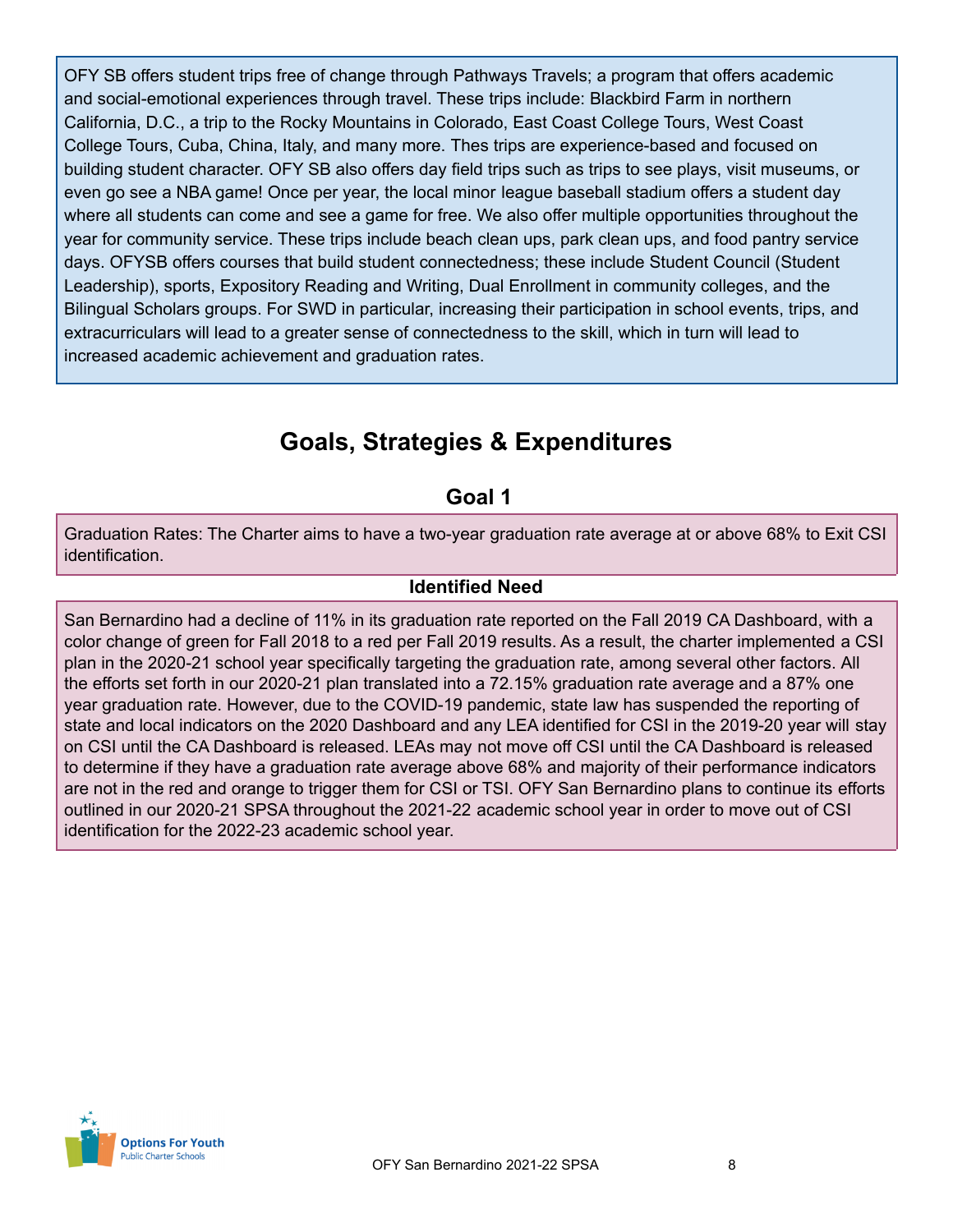OFY SB offers student trips free of change through Pathways Travels; a program that offers academic and social-emotional experiences through travel. These trips include: Blackbird Farm in northern California, D.C., a trip to the Rocky Mountains in Colorado, East Coast College Tours, West Coast College Tours, Cuba, China, Italy, and many more. Thes trips are experience-based and focused on building student character. OFY SB also offers day field trips such as trips to see plays, visit museums, or even go see a NBA game! Once per year, the local minor league baseball stadium offers a student day where all students can come and see a game for free. We also offer multiple opportunities throughout the year for community service. These trips include beach clean ups, park clean ups, and food pantry service days. OFYSB offers courses that build student connectedness; these include Student Council (Student Leadership), sports, Expository Reading and Writing, Dual Enrollment in community colleges, and the Bilingual Scholars groups. For SWD in particular, increasing their participation in school events, trips, and extracurriculars will lead to a greater sense of connectedness to the skill, which in turn will lead to increased academic achievement and graduation rates.

# **Goals, Strategies & Expenditures**

# **Goal 1**

Graduation Rates: The Charter aims to have a two-year graduation rate average at or above 68% to Exit CSI identification.

#### **Identified Need**

San Bernardino had a decline of 11% in its graduation rate reported on the Fall 2019 CA Dashboard, with a color change of green for Fall 2018 to a red per Fall 2019 results. As a result, the charter implemented a CSI plan in the 2020-21 school year specifically targeting the graduation rate, among several other factors. All the efforts set forth in our 2020-21 plan translated into a 72.15% graduation rate average and a 87% one year graduation rate. However, due to the COVID-19 pandemic, state law has suspended the reporting of state and local indicators on the 2020 Dashboard and any LEA identified for CSI in the 2019-20 year will stay on CSI until the CA Dashboard is released. LEAs may not move off CSI until the CA Dashboard is released to determine if they have a graduation rate average above 68% and majority of their performance indicators are not in the red and orange to trigger them for CSI or TSI. OFY San Bernardino plans to continue its efforts outlined in our 2020-21 SPSA throughout the 2021-22 academic school year in order to move out of CSI identification for the 2022-23 academic school year.

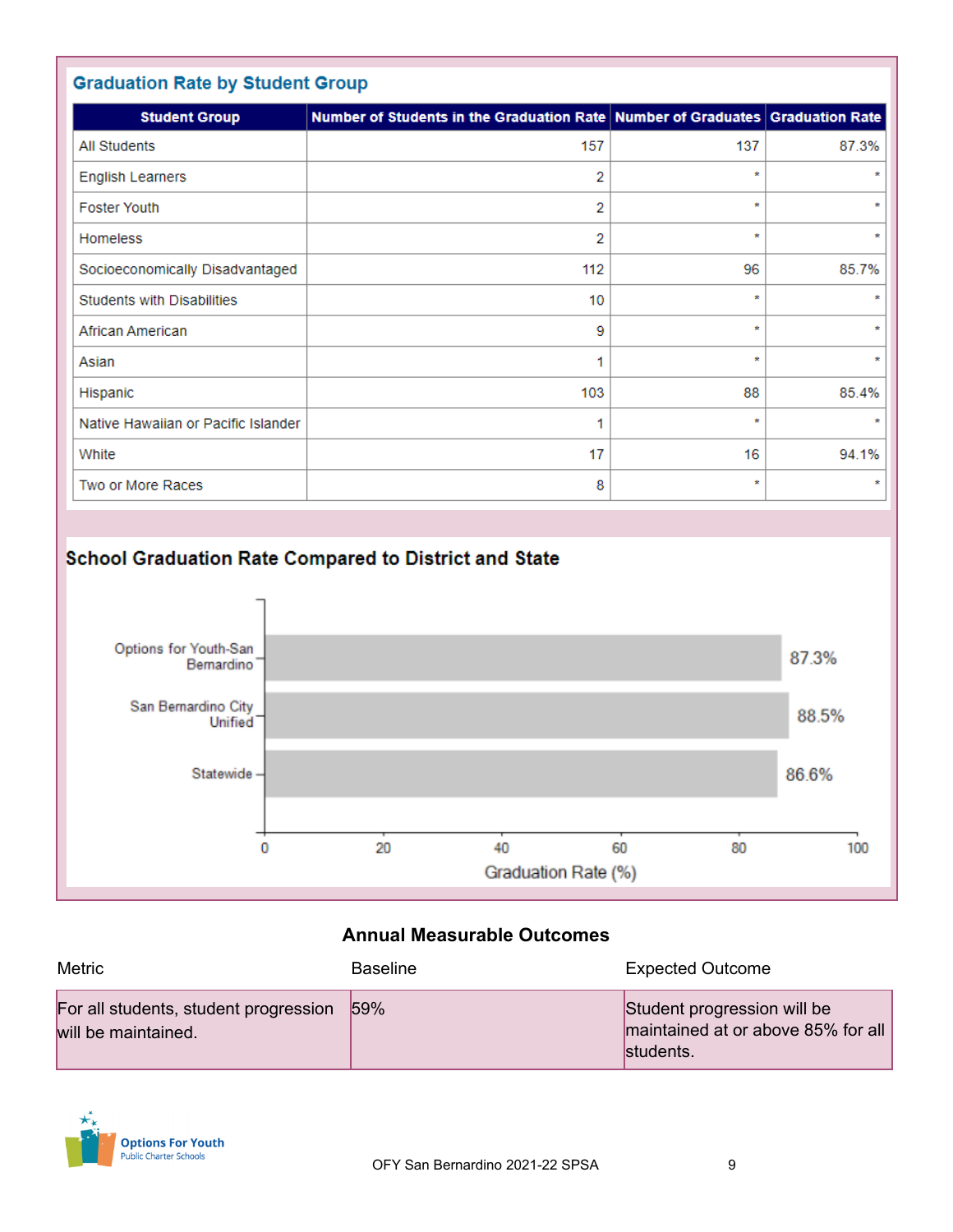| <b>Graduation Rate by Student Group</b> |                                                                               |         |              |  |  |  |  |
|-----------------------------------------|-------------------------------------------------------------------------------|---------|--------------|--|--|--|--|
| <b>Student Group</b>                    | Number of Students in the Graduation Rate Number of Graduates Graduation Rate |         |              |  |  |  |  |
| <b>All Students</b>                     | 157                                                                           | 137     | 87.3%        |  |  |  |  |
| <b>English Learners</b>                 | 2                                                                             | $\star$ | $\star$      |  |  |  |  |
| <b>Foster Youth</b>                     | 2                                                                             | $\star$ | $\star$      |  |  |  |  |
| <b>Homeless</b>                         | 2                                                                             | $\star$ | $\pmb{\ast}$ |  |  |  |  |
| Socioeconomically Disadvantaged         | 112                                                                           | 96      | 85.7%        |  |  |  |  |
| <b>Students with Disabilities</b>       | 10                                                                            | ×       | $\star$      |  |  |  |  |
| African American                        | 9                                                                             | $\star$ | $\star$      |  |  |  |  |
| Asian                                   | 1                                                                             | $\star$ | $\star$      |  |  |  |  |
| Hispanic                                | 103                                                                           | 88      | 85.4%        |  |  |  |  |
| Native Hawaiian or Pacific Islander     |                                                                               | $\star$ | $\star$      |  |  |  |  |
| White                                   | 17                                                                            | 16      | 94.1%        |  |  |  |  |
| Two or More Races                       | 8                                                                             | $\star$ | $\star$      |  |  |  |  |

# School Graduation Rate Compared to District and State



## **Annual Measurable Outcomes**

| <b>Metric</b>                                                | <b>Baseline</b> | <b>Expected Outcome</b>                                                        |
|--------------------------------------------------------------|-----------------|--------------------------------------------------------------------------------|
| For all students, student progression<br>will be maintained. | 59%             | Student progression will be<br>maintained at or above 85% for all<br>students. |

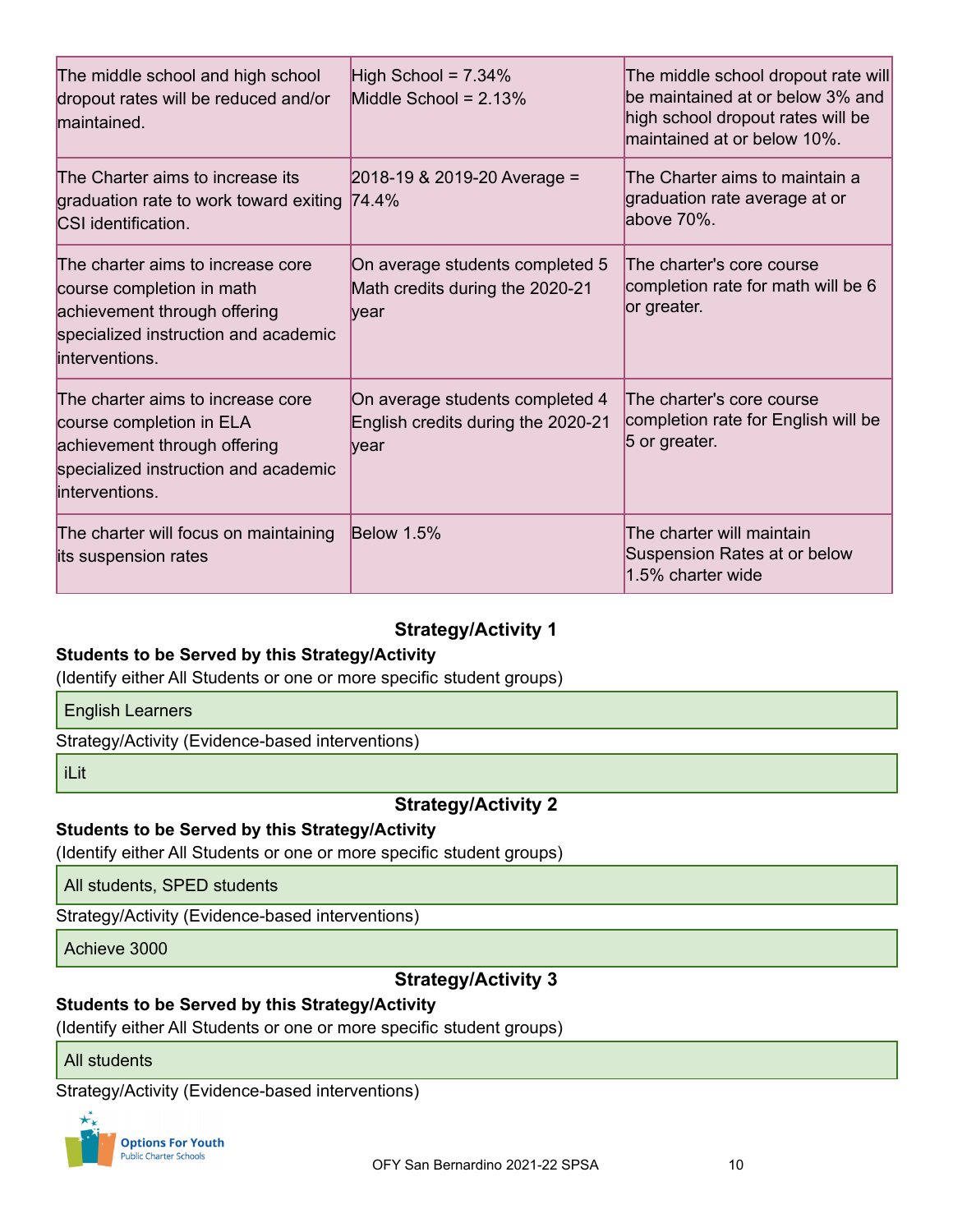| The middle school and high school<br>dropout rates will be reduced and/or<br>maintained.                                                                 | High School = $7.34\%$<br>Middle School = $2.13%$                                    | The middle school dropout rate will<br>be maintained at or below 3% and<br>high school dropout rates will be<br>maintained at or below 10%. |
|----------------------------------------------------------------------------------------------------------------------------------------------------------|--------------------------------------------------------------------------------------|---------------------------------------------------------------------------------------------------------------------------------------------|
| The Charter aims to increase its<br>graduation rate to work toward exiting<br>CSI identification.                                                        | $2018-19$ & 2019-20 Average =<br>74.4%                                               | The Charter aims to maintain a<br>graduation rate average at or<br>above 70%.                                                               |
| The charter aims to increase core<br>course completion in math<br>achievement through offering<br>specialized instruction and academic<br>interventions. | On average students completed 5<br>Math credits during the 2020-21<br>year           | The charter's core course<br>completion rate for math will be 6<br>or greater.                                                              |
| The charter aims to increase core<br>course completion in ELA<br>achievement through offering<br>specialized instruction and academic<br>interventions.  | On average students completed 4<br>English credits during the 2020-21<br><b>vear</b> | The charter's core course<br>completion rate for English will be<br>5 or greater.                                                           |
| The charter will focus on maintaining<br>its suspension rates                                                                                            | <b>Below 1.5%</b>                                                                    | The charter will maintain<br>Suspension Rates at or below<br>1.5% charter wide                                                              |

## **Strategy/Activity 1**

#### **Students to be Served by this Strategy/Activity**

(Identify either All Students or one or more specific student groups)

#### English Learners

Strategy/Activity (Evidence-based interventions)

iLit

#### **Strategy/Activity 2**

#### **Students to be Served by this Strategy/Activity**

(Identify either All Students or one or more specific student groups)

All students, SPED students

Strategy/Activity (Evidence-based interventions)

Achieve 3000

## **Strategy/Activity 3**

#### **Students to be Served by this Strategy/Activity**

(Identify either All Students or one or more specific student groups)

All students

Strategy/Activity (Evidence-based interventions)

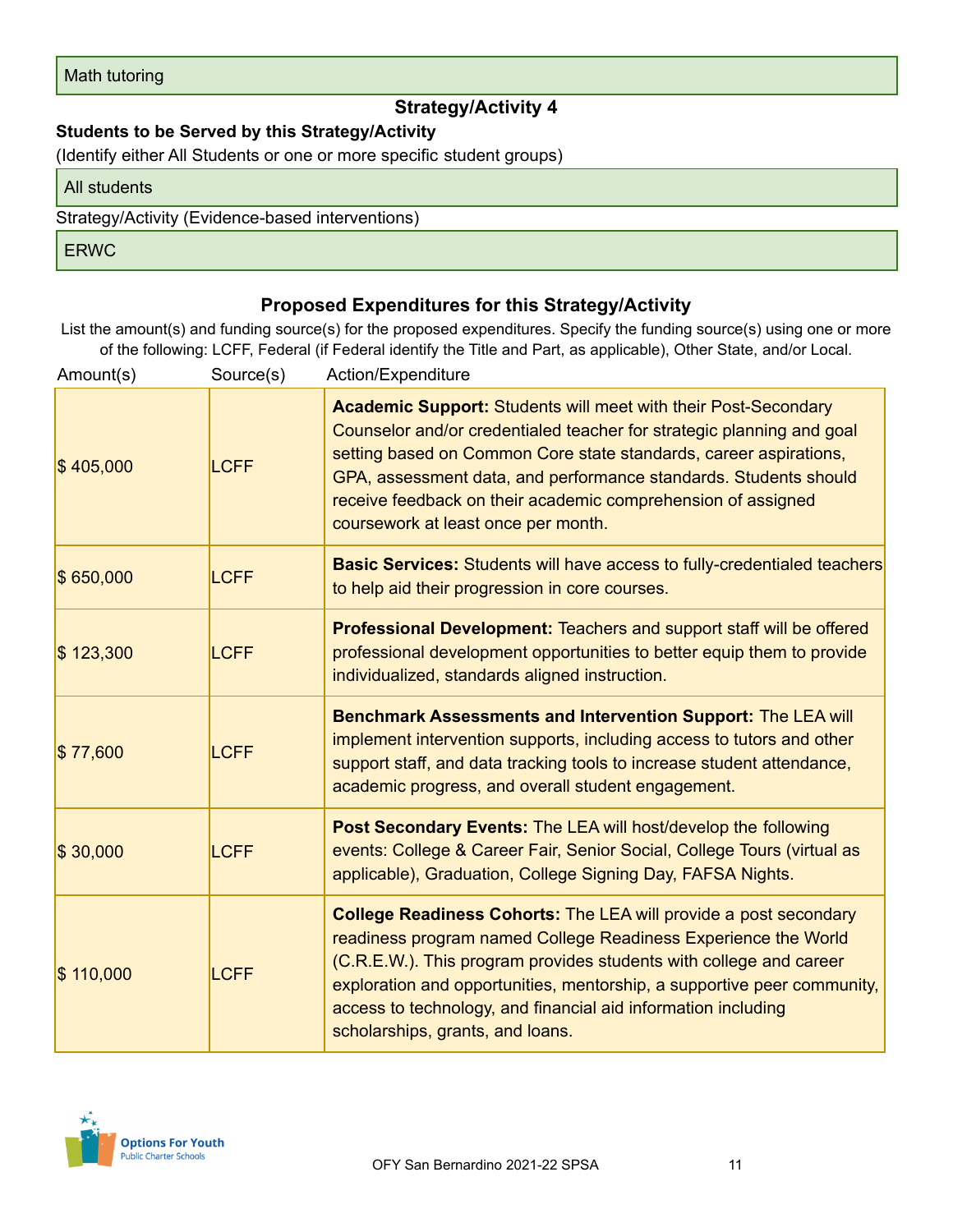## **Strategy/Activity 4**

#### **Students to be Served by this Strategy/Activity**

(Identify either All Students or one or more specific student groups)

All students

Strategy/Activity (Evidence-based interventions)

ERWC

### **Proposed Expenditures for this Strategy/Activity**

List the amount(s) and funding source(s) for the proposed expenditures. Specify the funding source(s) using one or more of the following: LCFF, Federal (if Federal identify the Title and Part, as applicable), Other State, and/or Local.

| Amount(s) | Source(s)   | Action/Expenditure                                                                                                                                                                                                                                                                                                                                                                              |
|-----------|-------------|-------------------------------------------------------------------------------------------------------------------------------------------------------------------------------------------------------------------------------------------------------------------------------------------------------------------------------------------------------------------------------------------------|
| \$405,000 | <b>LCFF</b> | <b>Academic Support: Students will meet with their Post-Secondary</b><br>Counselor and/or credentialed teacher for strategic planning and goal<br>setting based on Common Core state standards, career aspirations,<br>GPA, assessment data, and performance standards. Students should<br>receive feedback on their academic comprehension of assigned<br>coursework at least once per month.  |
| \$650,000 | <b>LCFF</b> | <b>Basic Services:</b> Students will have access to fully-credentialed teachers<br>to help aid their progression in core courses.                                                                                                                                                                                                                                                               |
| \$123,300 | <b>LCFF</b> | Professional Development: Teachers and support staff will be offered<br>professional development opportunities to better equip them to provide<br>individualized, standards aligned instruction.                                                                                                                                                                                                |
| \$77,600  | <b>LCFF</b> | Benchmark Assessments and Intervention Support: The LEA will<br>implement intervention supports, including access to tutors and other<br>support staff, and data tracking tools to increase student attendance,<br>academic progress, and overall student engagement.                                                                                                                           |
| \$30,000  | <b>LCFF</b> | Post Secondary Events: The LEA will host/develop the following<br>events: College & Career Fair, Senior Social, College Tours (virtual as<br>applicable), Graduation, College Signing Day, FAFSA Nights.                                                                                                                                                                                        |
| \$110,000 | <b>LCFF</b> | <b>College Readiness Cohorts: The LEA will provide a post secondary</b><br>readiness program named College Readiness Experience the World<br>(C.R.E.W.). This program provides students with college and career<br>exploration and opportunities, mentorship, a supportive peer community,<br>access to technology, and financial aid information including<br>scholarships, grants, and loans. |

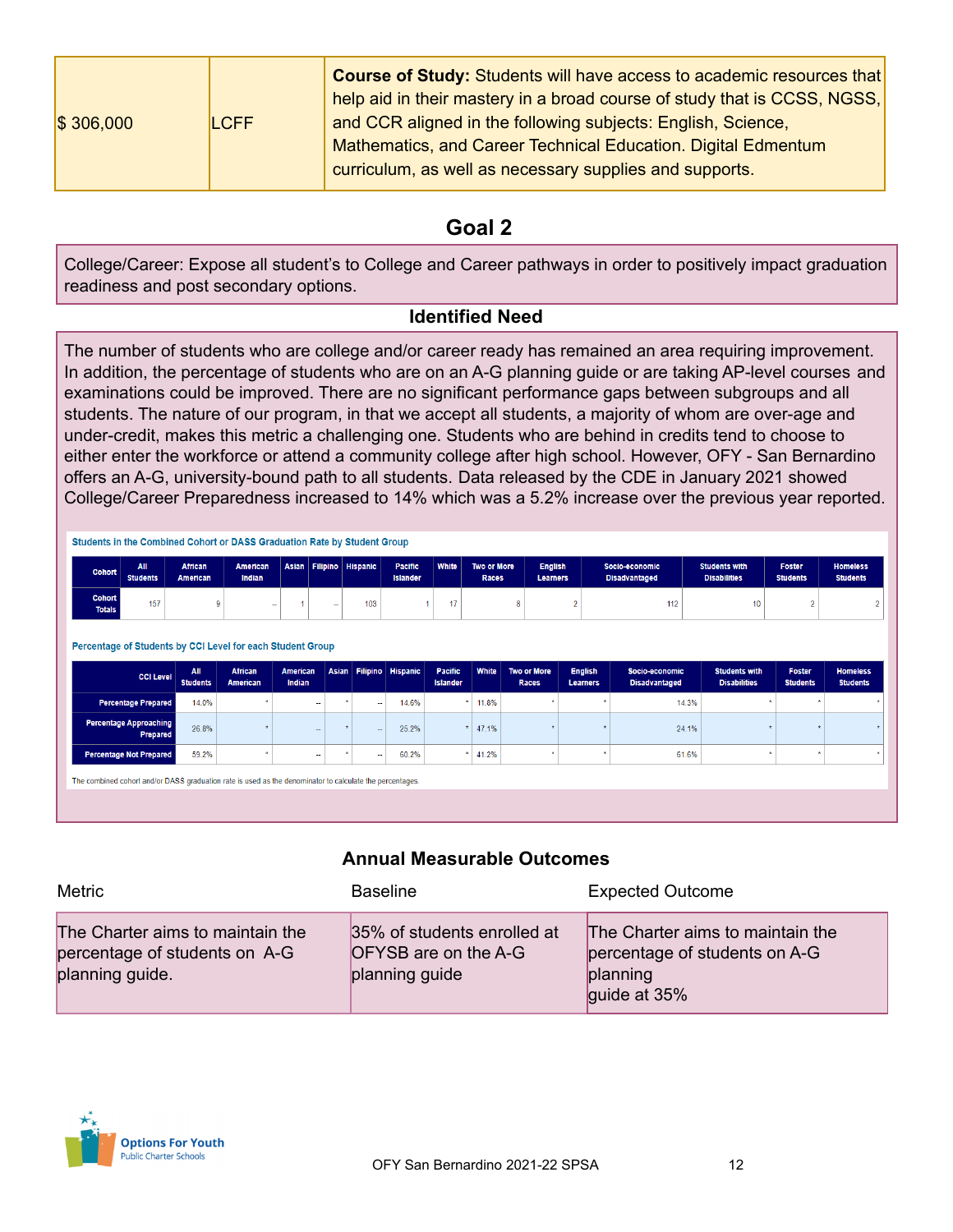| \$306,000 | <b>LCFF</b> | <b>Course of Study:</b> Students will have access to academic resources that<br>help aid in their mastery in a broad course of study that is CCSS, NGSS,<br>and CCR aligned in the following subjects: English, Science, |
|-----------|-------------|--------------------------------------------------------------------------------------------------------------------------------------------------------------------------------------------------------------------------|
|           |             | Mathematics, and Career Technical Education. Digital Edmentum                                                                                                                                                            |
|           |             | curriculum, as well as necessary supplies and supports.                                                                                                                                                                  |

# **Goal 2**

College/Career: Expose all student's to College and Career pathways in order to positively impact graduation readiness and post secondary options.

#### **Identified Need**

The number of students who are college and/or career ready has remained an area requiring improvement. In addition, the percentage of students who are on an A-G planning guide or are taking AP-level courses and examinations could be improved. There are no significant performance gaps between subgroups and all students. The nature of our program, in that we accept all students, a majority of whom are over-age and under-credit, makes this metric a challenging one. Students who are behind in credits tend to choose to either enter the workforce or attend a community college after high school. However, OFY - San Bernardino offers an A-G, university-bound path to all students. Data released by the CDE in January 2021 showed College/Career Preparedness increased to 14% which was a 5.2% increase over the previous year reported.

|                         | Students in the Combined Cohort or DASS Graduation Rate by Student Group |                            |                           |  |        |                         |                            |              |                                    |                                   |                                        |                                             |                           |                                    |
|-------------------------|--------------------------------------------------------------------------|----------------------------|---------------------------|--|--------|-------------------------|----------------------------|--------------|------------------------------------|-----------------------------------|----------------------------------------|---------------------------------------------|---------------------------|------------------------------------|
| <b>Cohort</b>           | All<br><b>Students</b>                                                   | <b>African</b><br>American | <b>American</b><br>Indian |  |        | Asian Filipino Hispanic | Pacific<br><b>Islander</b> | <b>White</b> | <b>Two or More</b><br><b>Races</b> | <b>English</b><br><b>Learners</b> | Socio-economic<br><b>Disadvantaged</b> | <b>Students with</b><br><b>Disabilities</b> | Foster<br><b>Students</b> | <b>Homeless</b><br><b>Students</b> |
| Cohort<br><b>Totals</b> | 157                                                                      |                            | $\overline{\phantom{a}}$  |  | $\sim$ | 103                     |                            | 17           |                                    |                                   | 112                                    | 10 <sub>1</sub>                             |                           |                                    |
|                         |                                                                          |                            |                           |  |        |                         |                            |              |                                    |                                   |                                        |                                             |                           |                                    |

Percentage of Students by CCI Level for each Student Group

| <b>CCI Level</b>                          | All<br><b>Students</b> | <b>African</b><br>American | American<br>Indian |        | Asian Filipino Hispanic | Pacific<br><b>Islander</b> | White | <b>Two or More</b><br>Races | English<br><b>Learners</b> | Socio-economic<br><b>Disadvantaged</b> | <b>Students with</b><br><b>Disabilities</b> | Foster<br><b>Students</b> | <b>Homeless</b><br><b>Students</b> |
|-------------------------------------------|------------------------|----------------------------|--------------------|--------|-------------------------|----------------------------|-------|-----------------------------|----------------------------|----------------------------------------|---------------------------------------------|---------------------------|------------------------------------|
| <b>Percentage Prepared</b>                | 14.0%                  |                            | -                  | $\sim$ | 14.6%                   |                            | 11.8% |                             |                            | 14.3%                                  |                                             |                           |                                    |
| <b>Percentage Approaching</b><br>Prepared | 26.8%                  | $\star$                    | $\sim$             | $\sim$ | 25.2%                   |                            | 47.1% |                             |                            | 24.1%                                  |                                             |                           |                                    |
| Percentage Not Prepared                   | 59.2%                  |                            | $\sim$             | $\sim$ | 60.2%                   |                            | 41.2% |                             |                            | 61.6%                                  |                                             |                           |                                    |

#### **Annual Measurable Outcomes**

| Metric                                                                               | <b>Baseline</b>                                                              | <b>Expected Outcome</b>                                                                       |
|--------------------------------------------------------------------------------------|------------------------------------------------------------------------------|-----------------------------------------------------------------------------------------------|
| The Charter aims to maintain the<br>percentage of students on A-G<br>planning guide. | 35% of students enrolled at<br><b>OFYSB</b> are on the A-G<br>planning guide | The Charter aims to maintain the<br>percentage of students on A-G<br>planning<br>guide at 35% |

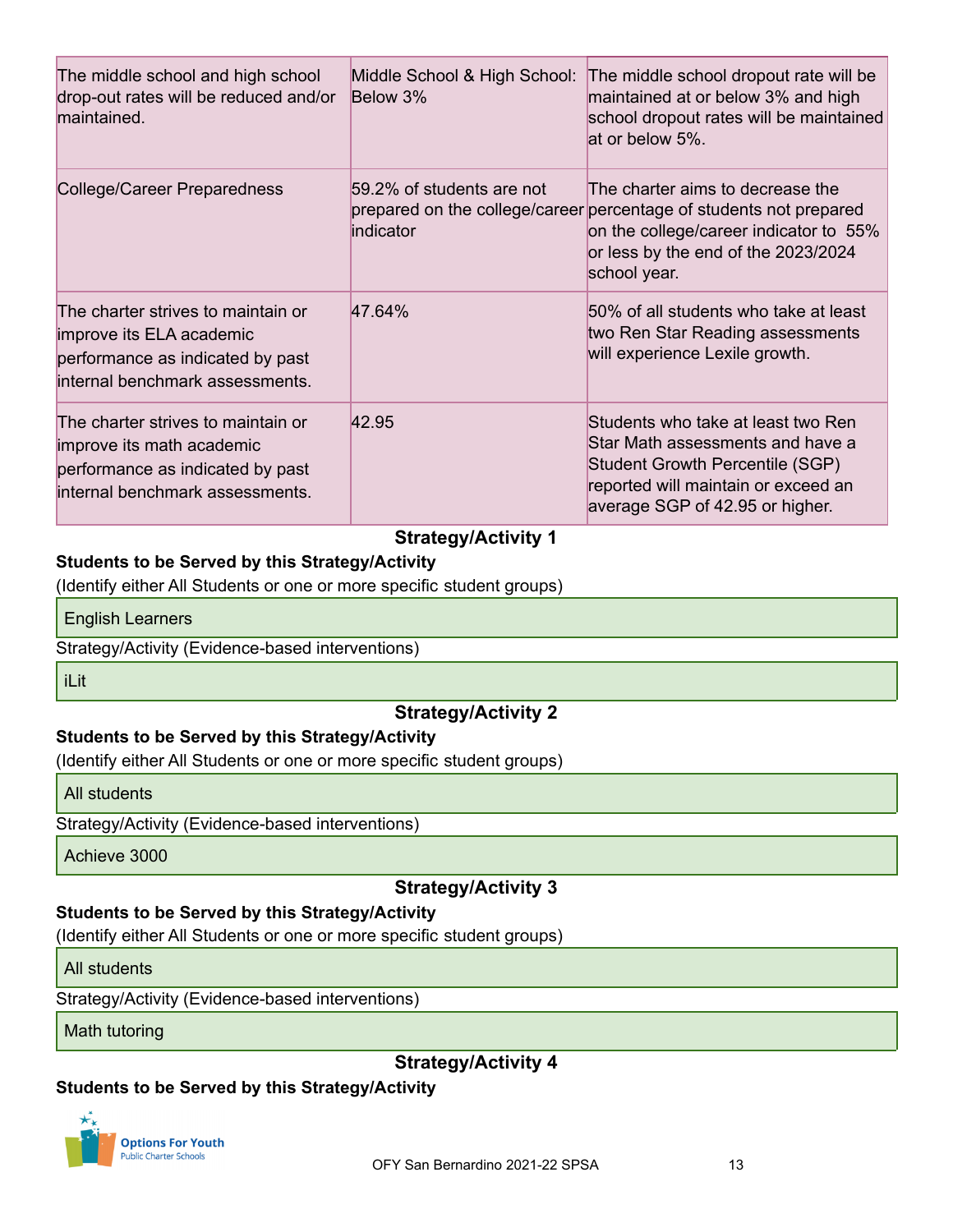| The middle school and high school<br>drop-out rates will be reduced and/or<br>maintained.                                              | Middle School & High School:<br>Below 3% | The middle school dropout rate will be<br>maintained at or below 3% and high<br>school dropout rates will be maintained<br>at or below 5%.                                                              |
|----------------------------------------------------------------------------------------------------------------------------------------|------------------------------------------|---------------------------------------------------------------------------------------------------------------------------------------------------------------------------------------------------------|
| College/Career Preparedness                                                                                                            | 59.2% of students are not<br>indicator   | The charter aims to decrease the<br>prepared on the college/career percentage of students not prepared<br>on the college/career indicator to 55%<br>or less by the end of the 2023/2024<br>school year. |
| The charter strives to maintain or<br>improve its ELA academic<br>performance as indicated by past<br>internal benchmark assessments.  | 47.64%                                   | 50% of all students who take at least<br>two Ren Star Reading assessments<br>will experience Lexile growth.                                                                                             |
| The charter strives to maintain or<br>improve its math academic<br>performance as indicated by past<br>internal benchmark assessments. | 42.95                                    | Students who take at least two Ren<br>Star Math assessments and have a<br>Student Growth Percentile (SGP)<br>reported will maintain or exceed an<br>average SGP of 42.95 or higher.                     |

## **Strategy/Activity 1**

#### **Students to be Served by this Strategy/Activity**

(Identify either All Students or one or more specific student groups)

English Learners

Strategy/Activity (Evidence-based interventions)

iLit

#### **Strategy/Activity 2**

#### **Students to be Served by this Strategy/Activity**

(Identify either All Students or one or more specific student groups)

All students

Strategy/Activity (Evidence-based interventions)

Achieve 3000

#### **Strategy/Activity 3**

#### **Students to be Served by this Strategy/Activity**

(Identify either All Students or one or more specific student groups)

All students

Strategy/Activity (Evidence-based interventions)

Math tutoring

**Strategy/Activity 4**

#### **Students to be Served by this Strategy/Activity**

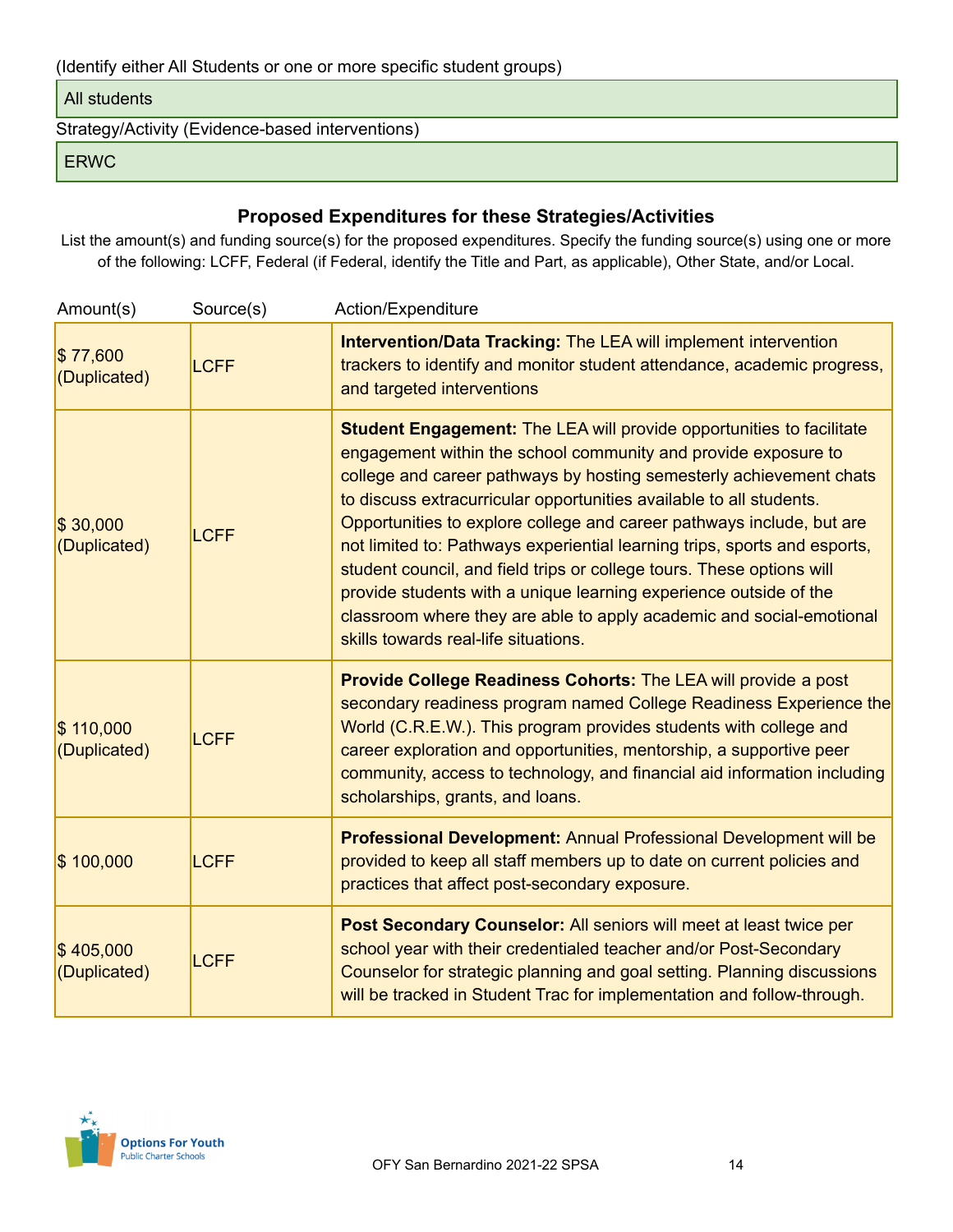(Identify either All Students or one or more specific student groups)

#### All students

Strategy/Activity (Evidence-based interventions)

#### ERWC

#### **Proposed Expenditures for these Strategies/Activities**

List the amount(s) and funding source(s) for the proposed expenditures. Specify the funding source(s) using one or more of the following: LCFF, Federal (if Federal, identify the Title and Part, as applicable), Other State, and/or Local.

| Amount(s)                 | Source(s)   | Action/Expenditure                                                                                                                                                                                                                                                                                                                                                                                                                                                                                                                                                                                                                                                                                              |
|---------------------------|-------------|-----------------------------------------------------------------------------------------------------------------------------------------------------------------------------------------------------------------------------------------------------------------------------------------------------------------------------------------------------------------------------------------------------------------------------------------------------------------------------------------------------------------------------------------------------------------------------------------------------------------------------------------------------------------------------------------------------------------|
| \$77,600<br>(Duplicated)  | <b>LCFF</b> | <b>Intervention/Data Tracking: The LEA will implement intervention</b><br>trackers to identify and monitor student attendance, academic progress,<br>and targeted interventions                                                                                                                                                                                                                                                                                                                                                                                                                                                                                                                                 |
| \$30,000<br>(Duplicated)  | <b>LCFF</b> | <b>Student Engagement: The LEA will provide opportunities to facilitate</b><br>engagement within the school community and provide exposure to<br>college and career pathways by hosting semesterly achievement chats<br>to discuss extracurricular opportunities available to all students.<br>Opportunities to explore college and career pathways include, but are<br>not limited to: Pathways experiential learning trips, sports and esports,<br>student council, and field trips or college tours. These options will<br>provide students with a unique learning experience outside of the<br>classroom where they are able to apply academic and social-emotional<br>skills towards real-life situations. |
| \$110,000<br>(Duplicated) | <b>LCFF</b> | Provide College Readiness Cohorts: The LEA will provide a post<br>secondary readiness program named College Readiness Experience the<br>World (C.R.E.W.). This program provides students with college and<br>career exploration and opportunities, mentorship, a supportive peer<br>community, access to technology, and financial aid information including<br>scholarships, grants, and loans.                                                                                                                                                                                                                                                                                                                |
| \$100,000                 | <b>LCFF</b> | Professional Development: Annual Professional Development will be<br>provided to keep all staff members up to date on current policies and<br>practices that affect post-secondary exposure.                                                                                                                                                                                                                                                                                                                                                                                                                                                                                                                    |
| \$405,000<br>(Duplicated) | <b>LCFF</b> | Post Secondary Counselor: All seniors will meet at least twice per<br>school year with their credentialed teacher and/or Post-Secondary<br>Counselor for strategic planning and goal setting. Planning discussions<br>will be tracked in Student Trac for implementation and follow-through.                                                                                                                                                                                                                                                                                                                                                                                                                    |

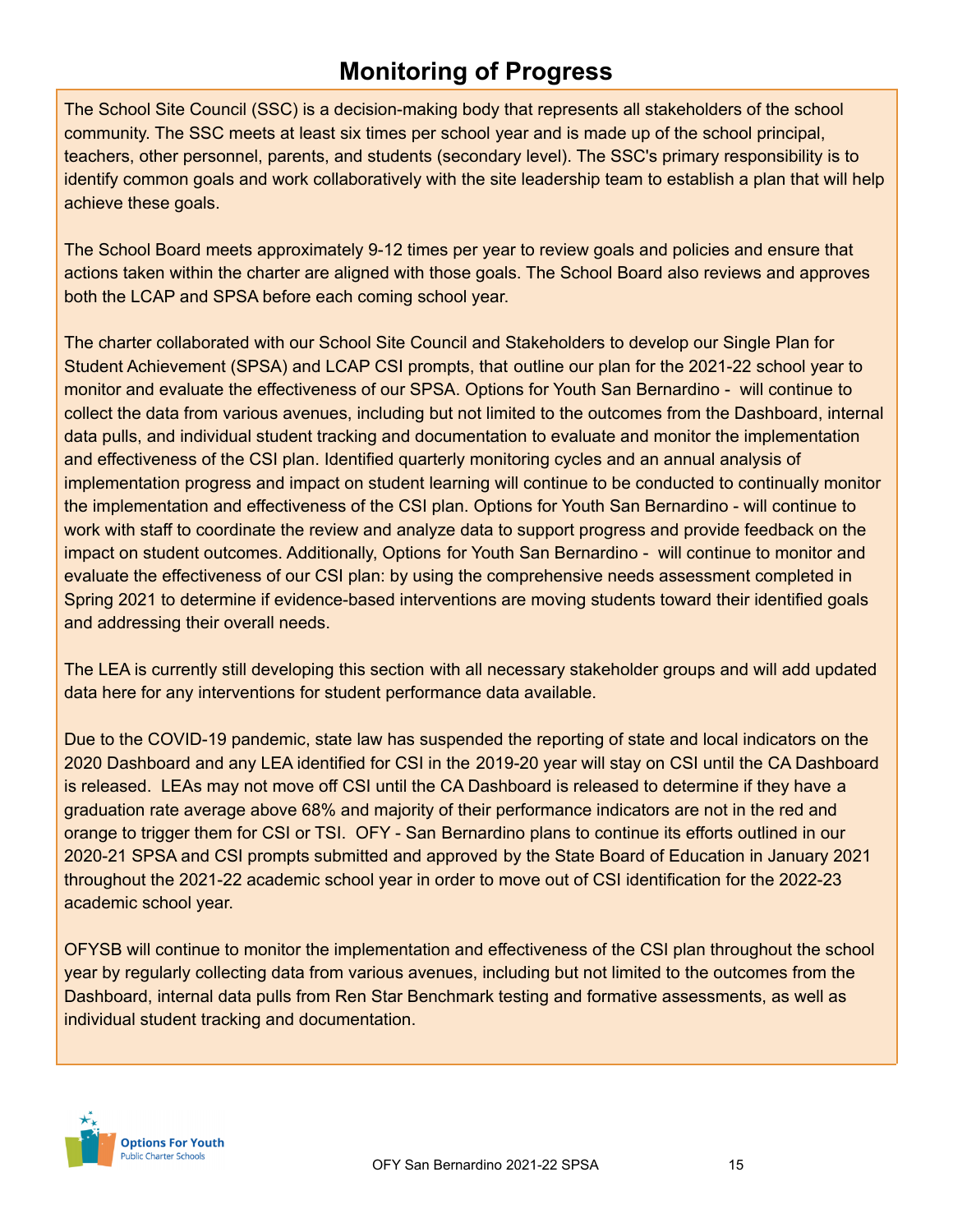# **Monitoring of Progress**

The School Site Council (SSC) is a decision-making body that represents all stakeholders of the school community. The SSC meets at least six times per school year and is made up of the school principal, teachers, other personnel, parents, and students (secondary level). The SSC's primary responsibility is to identify common goals and work collaboratively with the site leadership team to establish a plan that will help achieve these goals.

The School Board meets approximately 9-12 times per year to review goals and policies and ensure that actions taken within the charter are aligned with those goals. The School Board also reviews and approves both the LCAP and SPSA before each coming school year.

The charter collaborated with our School Site Council and Stakeholders to develop our Single Plan for Student Achievement (SPSA) and LCAP CSI prompts, that outline our plan for the 2021-22 school year to monitor and evaluate the effectiveness of our SPSA. Options for Youth San Bernardino - will continue to collect the data from various avenues, including but not limited to the outcomes from the Dashboard, internal data pulls, and individual student tracking and documentation to evaluate and monitor the implementation and effectiveness of the CSI plan. Identified quarterly monitoring cycles and an annual analysis of implementation progress and impact on student learning will continue to be conducted to continually monitor the implementation and effectiveness of the CSI plan. Options for Youth San Bernardino - will continue to work with staff to coordinate the review and analyze data to support progress and provide feedback on the impact on student outcomes. Additionally, Options for Youth San Bernardino - will continue to monitor and evaluate the effectiveness of our CSI plan: by using the comprehensive needs assessment completed in Spring 2021 to determine if evidence-based interventions are moving students toward their identified goals and addressing their overall needs.

The LEA is currently still developing this section with all necessary stakeholder groups and will add updated data here for any interventions for student performance data available.

Due to the COVID-19 pandemic, state law has suspended the reporting of state and local indicators on the 2020 Dashboard and any LEA identified for CSI in the 2019-20 year will stay on CSI until the CA Dashboard is released. LEAs may not move off CSI until the CA Dashboard is released to determine if they have a graduation rate average above 68% and majority of their performance indicators are not in the red and orange to trigger them for CSI or TSI. OFY - San Bernardino plans to continue its efforts outlined in our 2020-21 SPSA and CSI prompts submitted and approved by the State Board of Education in January 2021 throughout the 2021-22 academic school year in order to move out of CSI identification for the 2022-23 academic school year.

OFYSB will continue to monitor the implementation and effectiveness of the CSI plan throughout the school year by regularly collecting data from various avenues, including but not limited to the outcomes from the Dashboard, internal data pulls from Ren Star Benchmark testing and formative assessments, as well as individual student tracking and documentation.

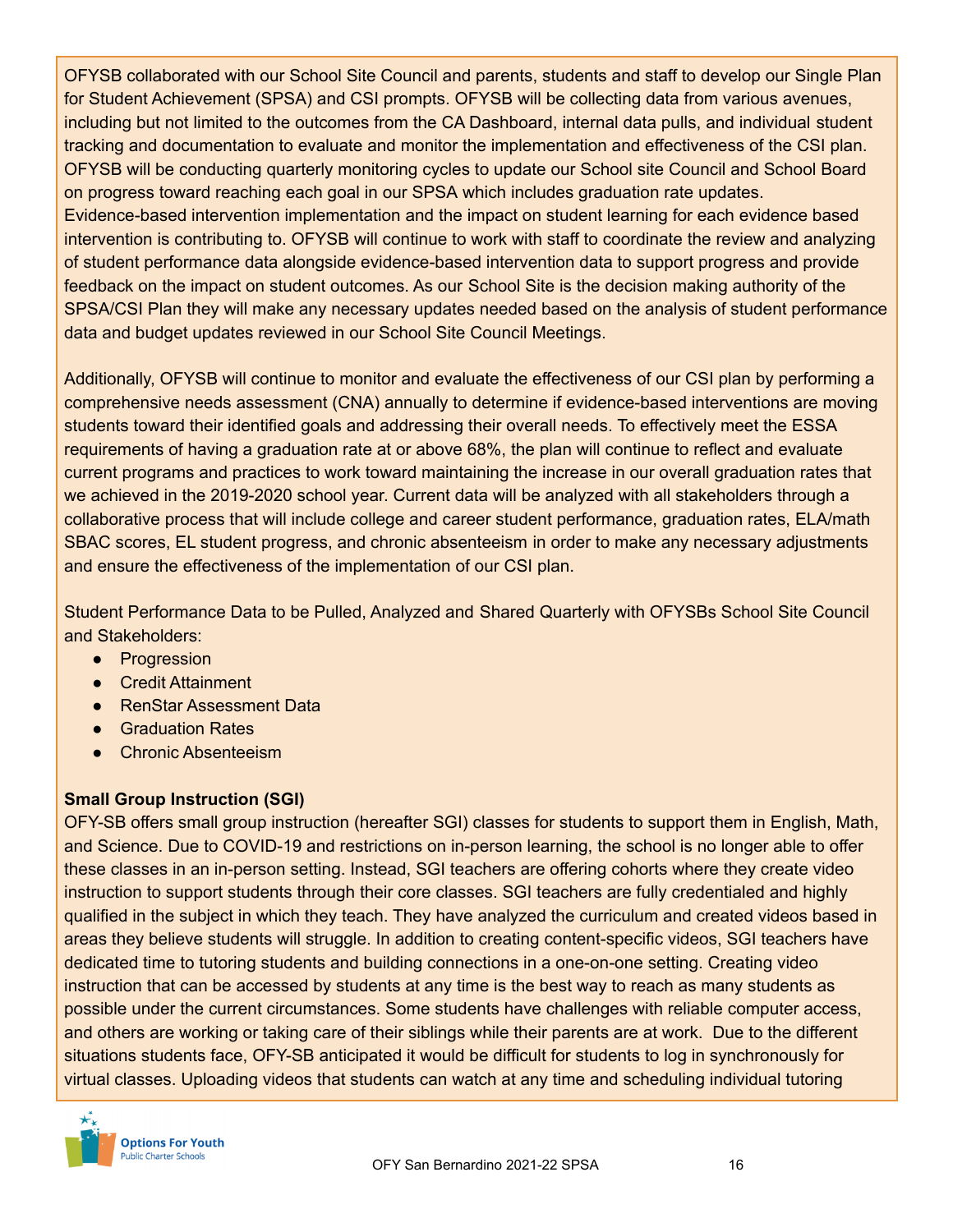OFYSB collaborated with our School Site Council and parents, students and staff to develop our Single Plan for Student Achievement (SPSA) and CSI prompts. OFYSB will be collecting data from various avenues, including but not limited to the outcomes from the CA Dashboard, internal data pulls, and individual student tracking and documentation to evaluate and monitor the implementation and effectiveness of the CSI plan. OFYSB will be conducting quarterly monitoring cycles to update our School site Council and School Board on progress toward reaching each goal in our SPSA which includes graduation rate updates. Evidence-based intervention implementation and the impact on student learning for each evidence based intervention is contributing to. OFYSB will continue to work with staff to coordinate the review and analyzing of student performance data alongside evidence-based intervention data to support progress and provide feedback on the impact on student outcomes. As our School Site is the decision making authority of the SPSA/CSI Plan they will make any necessary updates needed based on the analysis of student performance data and budget updates reviewed in our School Site Council Meetings.

Additionally, OFYSB will continue to monitor and evaluate the effectiveness of our CSI plan by performing a comprehensive needs assessment (CNA) annually to determine if evidence-based interventions are moving students toward their identified goals and addressing their overall needs. To effectively meet the ESSA requirements of having a graduation rate at or above 68%, the plan will continue to reflect and evaluate current programs and practices to work toward maintaining the increase in our overall graduation rates that we achieved in the 2019-2020 school year. Current data will be analyzed with all stakeholders through a collaborative process that will include college and career student performance, graduation rates, ELA/math SBAC scores, EL student progress, and chronic absenteeism in order to make any necessary adjustments and ensure the effectiveness of the implementation of our CSI plan.

Student Performance Data to be Pulled, Analyzed and Shared Quarterly with OFYSBs School Site Council and Stakeholders:

- Progression
- Credit Attainment
- RenStar Assessment Data
- Graduation Rates
- Chronic Absenteeism

#### **Small Group Instruction (SGI)**

OFY-SB offers small group instruction (hereafter SGI) classes for students to support them in English, Math, and Science. Due to COVID-19 and restrictions on in-person learning, the school is no longer able to offer these classes in an in-person setting. Instead, SGI teachers are offering cohorts where they create video instruction to support students through their core classes. SGI teachers are fully credentialed and highly qualified in the subject in which they teach. They have analyzed the curriculum and created videos based in areas they believe students will struggle. In addition to creating content-specific videos, SGI teachers have dedicated time to tutoring students and building connections in a one-on-one setting. Creating video instruction that can be accessed by students at any time is the best way to reach as many students as possible under the current circumstances. Some students have challenges with reliable computer access, and others are working or taking care of their siblings while their parents are at work. Due to the different situations students face, OFY-SB anticipated it would be difficult for students to log in synchronously for virtual classes. Uploading videos that students can watch at any time and scheduling individual tutoring

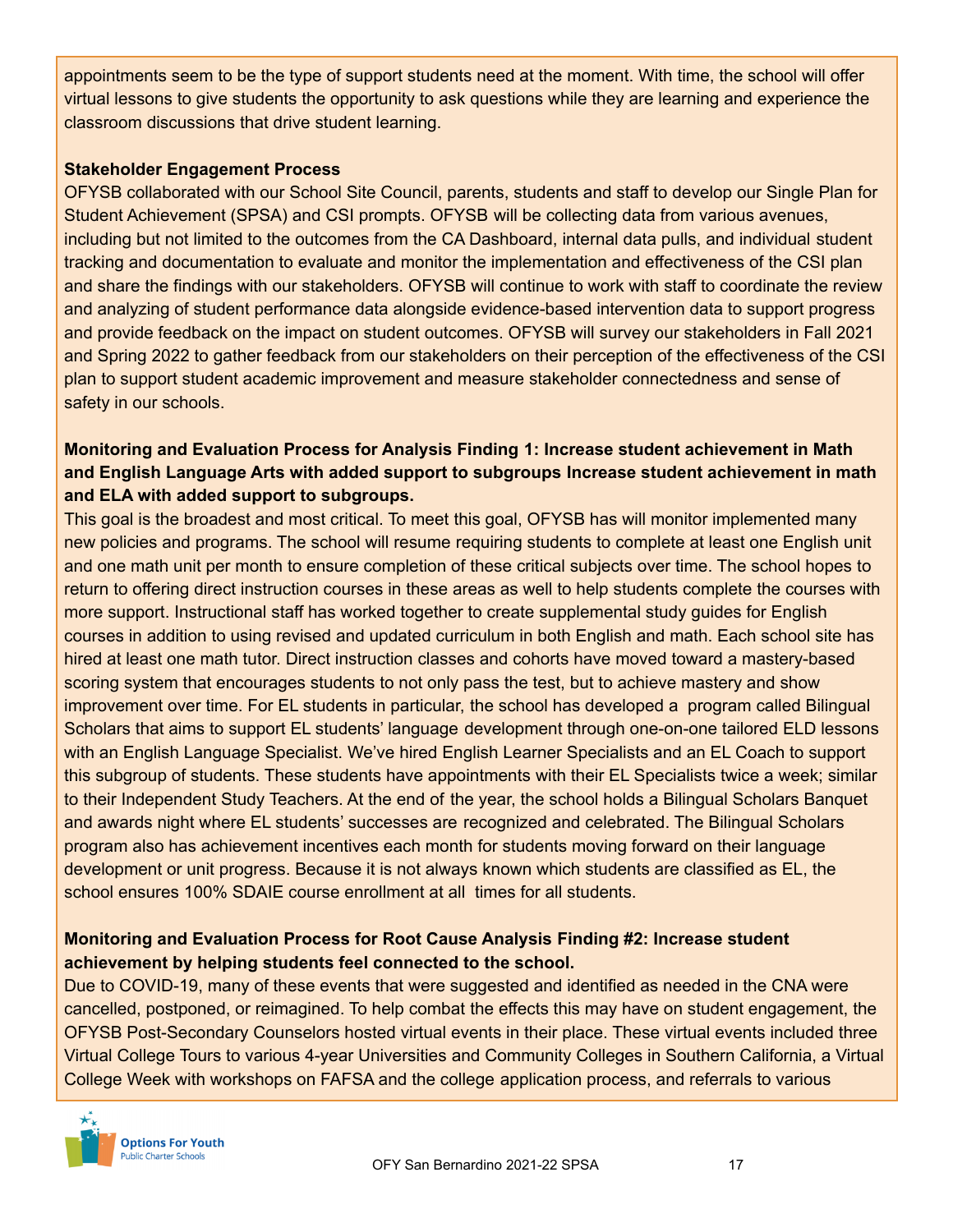appointments seem to be the type of support students need at the moment. With time, the school will offer virtual lessons to give students the opportunity to ask questions while they are learning and experience the classroom discussions that drive student learning.

#### **Stakeholder Engagement Process**

OFYSB collaborated with our School Site Council, parents, students and staff to develop our Single Plan for Student Achievement (SPSA) and CSI prompts. OFYSB will be collecting data from various avenues, including but not limited to the outcomes from the CA Dashboard, internal data pulls, and individual student tracking and documentation to evaluate and monitor the implementation and effectiveness of the CSI plan and share the findings with our stakeholders. OFYSB will continue to work with staff to coordinate the review and analyzing of student performance data alongside evidence-based intervention data to support progress and provide feedback on the impact on student outcomes. OFYSB will survey our stakeholders in Fall 2021 and Spring 2022 to gather feedback from our stakeholders on their perception of the effectiveness of the CSI plan to support student academic improvement and measure stakeholder connectedness and sense of safety in our schools.

#### **Monitoring and Evaluation Process for Analysis Finding 1: Increase student achievement in Math and English Language Arts with added support to subgroups Increase student achievement in math and ELA with added support to subgroups.**

This goal is the broadest and most critical. To meet this goal, OFYSB has will monitor implemented many new policies and programs. The school will resume requiring students to complete at least one English unit and one math unit per month to ensure completion of these critical subjects over time. The school hopes to return to offering direct instruction courses in these areas as well to help students complete the courses with more support. Instructional staff has worked together to create supplemental study guides for English courses in addition to using revised and updated curriculum in both English and math. Each school site has hired at least one math tutor. Direct instruction classes and cohorts have moved toward a mastery-based scoring system that encourages students to not only pass the test, but to achieve mastery and show improvement over time. For EL students in particular, the school has developed a program called Bilingual Scholars that aims to support EL students' language development through one-on-one tailored ELD lessons with an English Language Specialist. We've hired English Learner Specialists and an EL Coach to support this subgroup of students. These students have appointments with their EL Specialists twice a week; similar to their Independent Study Teachers. At the end of the year, the school holds a Bilingual Scholars Banquet and awards night where EL students' successes are recognized and celebrated. The Bilingual Scholars program also has achievement incentives each month for students moving forward on their language development or unit progress. Because it is not always known which students are classified as EL, the school ensures 100% SDAIE course enrollment at all times for all students.

#### **Monitoring and Evaluation Process for Root Cause Analysis Finding #2: Increase student achievement by helping students feel connected to the school.**

Due to COVID-19, many of these events that were suggested and identified as needed in the CNA were cancelled, postponed, or reimagined. To help combat the effects this may have on student engagement, the OFYSB Post-Secondary Counselors hosted virtual events in their place. These virtual events included three Virtual College Tours to various 4-year Universities and Community Colleges in Southern California, a Virtual College Week with workshops on FAFSA and the college application process, and referrals to various

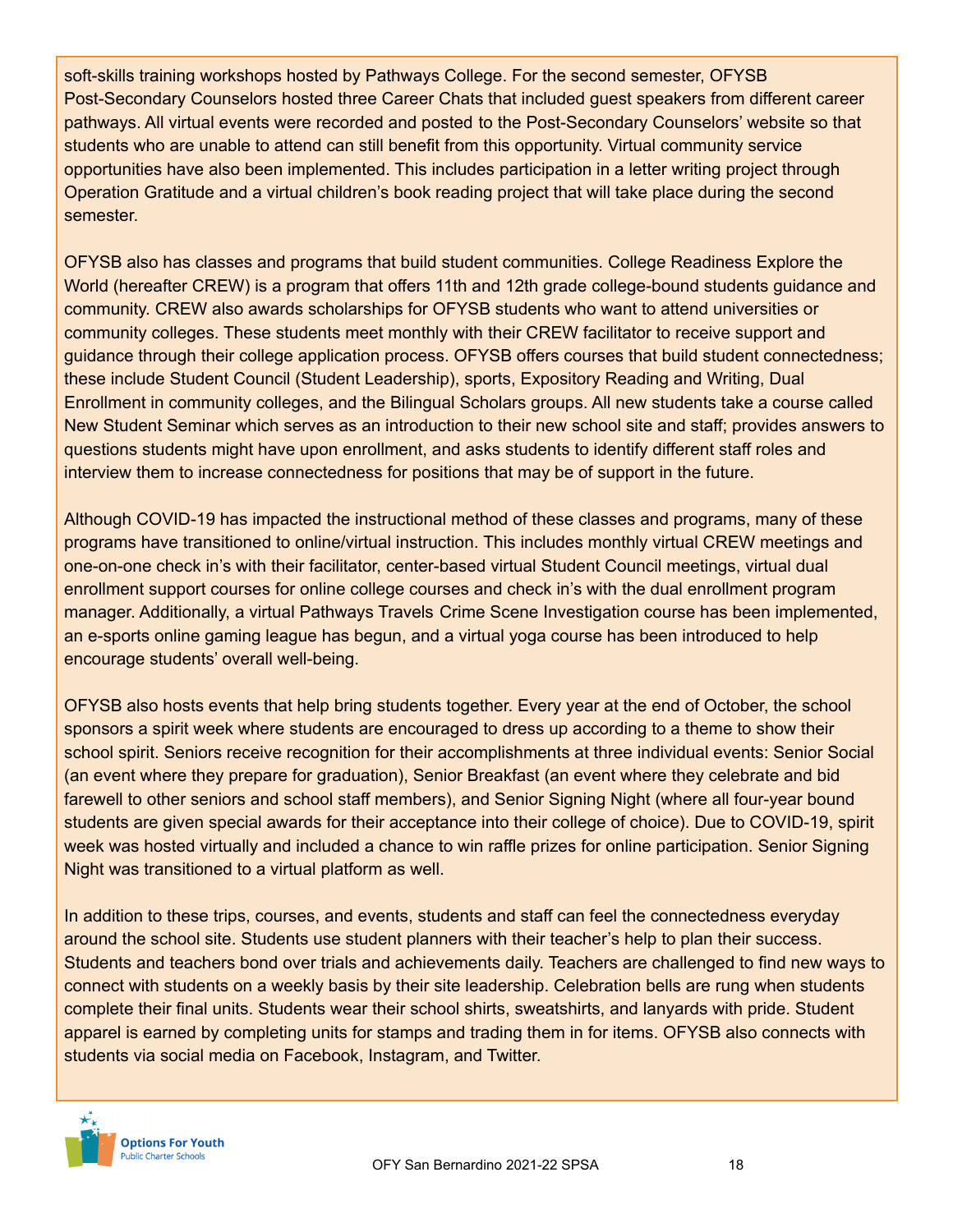soft-skills training workshops hosted by Pathways College. For the second semester, OFYSB Post-Secondary Counselors hosted three Career Chats that included guest speakers from different career pathways. All virtual events were recorded and posted to the Post-Secondary Counselors' website so that students who are unable to attend can still benefit from this opportunity. Virtual community service opportunities have also been implemented. This includes participation in a letter writing project through Operation Gratitude and a virtual children's book reading project that will take place during the second semester.

OFYSB also has classes and programs that build student communities. College Readiness Explore the World (hereafter CREW) is a program that offers 11th and 12th grade college-bound students guidance and community. CREW also awards scholarships for OFYSB students who want to attend universities or community colleges. These students meet monthly with their CREW facilitator to receive support and guidance through their college application process. OFYSB offers courses that build student connectedness; these include Student Council (Student Leadership), sports, Expository Reading and Writing, Dual Enrollment in community colleges, and the Bilingual Scholars groups. All new students take a course called New Student Seminar which serves as an introduction to their new school site and staff; provides answers to questions students might have upon enrollment, and asks students to identify different staff roles and interview them to increase connectedness for positions that may be of support in the future.

Although COVID-19 has impacted the instructional method of these classes and programs, many of these programs have transitioned to online/virtual instruction. This includes monthly virtual CREW meetings and one-on-one check in's with their facilitator, center-based virtual Student Council meetings, virtual dual enrollment support courses for online college courses and check in's with the dual enrollment program manager. Additionally, a virtual Pathways Travels Crime Scene Investigation course has been implemented, an e-sports online gaming league has begun, and a virtual yoga course has been introduced to help encourage students' overall well-being.

OFYSB also hosts events that help bring students together. Every year at the end of October, the school sponsors a spirit week where students are encouraged to dress up according to a theme to show their school spirit. Seniors receive recognition for their accomplishments at three individual events: Senior Social (an event where they prepare for graduation), Senior Breakfast (an event where they celebrate and bid farewell to other seniors and school staff members), and Senior Signing Night (where all four-year bound students are given special awards for their acceptance into their college of choice). Due to COVID-19, spirit week was hosted virtually and included a chance to win raffle prizes for online participation. Senior Signing Night was transitioned to a virtual platform as well.

In addition to these trips, courses, and events, students and staff can feel the connectedness everyday around the school site. Students use student planners with their teacher's help to plan their success. Students and teachers bond over trials and achievements daily. Teachers are challenged to find new ways to connect with students on a weekly basis by their site leadership. Celebration bells are rung when students complete their final units. Students wear their school shirts, sweatshirts, and lanyards with pride. Student apparel is earned by completing units for stamps and trading them in for items. OFYSB also connects with students via social media on Facebook, Instagram, and Twitter.

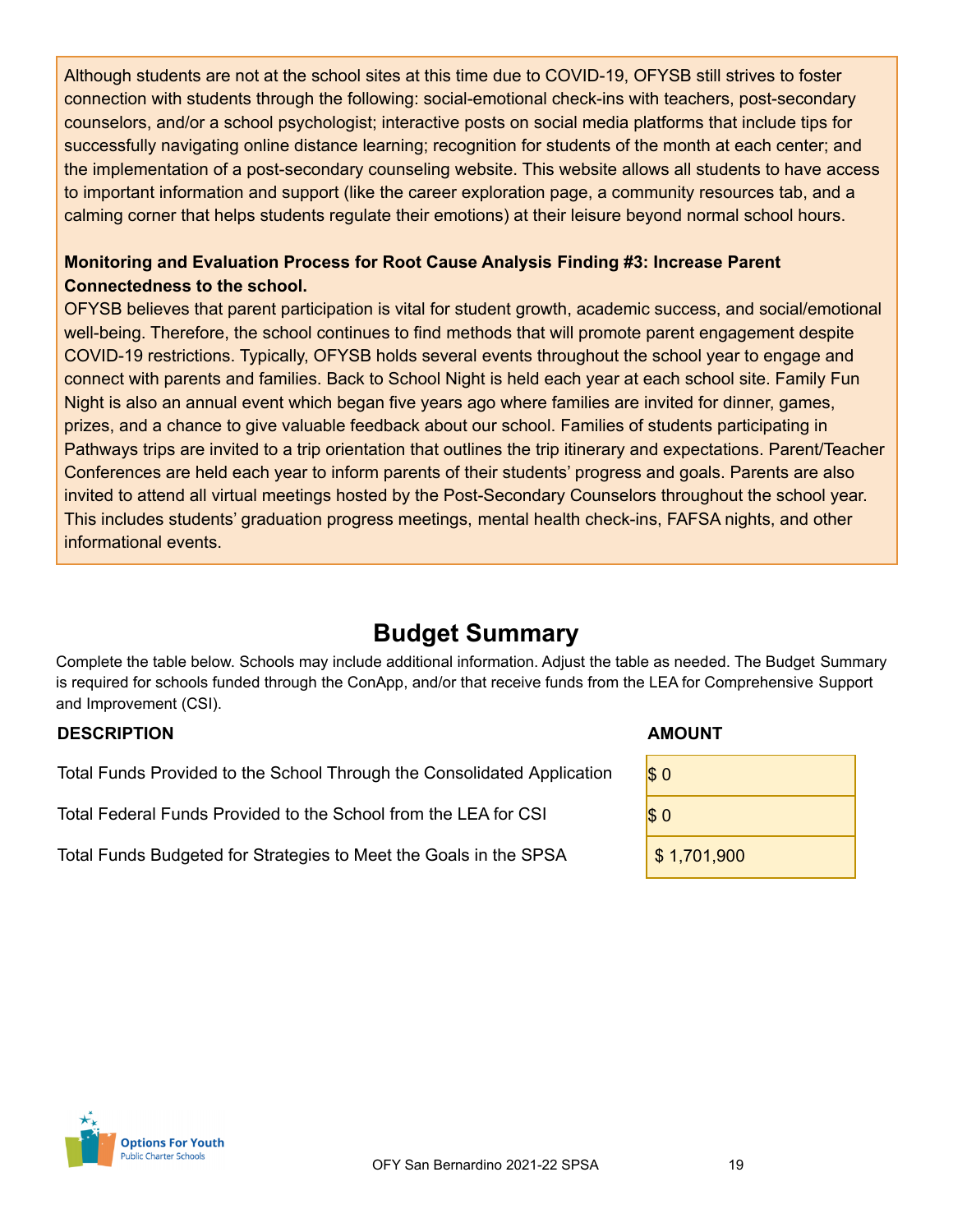Although students are not at the school sites at this time due to COVID-19, OFYSB still strives to foster connection with students through the following: social-emotional check-ins with teachers, post-secondary counselors, and/or a school psychologist; interactive posts on social media platforms that include tips for successfully navigating online distance learning; recognition for students of the month at each center; and the implementation of a post-secondary counseling website. This website allows all students to have access to important information and support (like the career exploration page, a community resources tab, and a calming corner that helps students regulate their emotions) at their leisure beyond normal school hours.

#### **Monitoring and Evaluation Process for Root Cause Analysis Finding #3: Increase Parent Connectedness to the school.**

OFYSB believes that parent participation is vital for student growth, academic success, and social/emotional well-being. Therefore, the school continues to find methods that will promote parent engagement despite COVID-19 restrictions. Typically, OFYSB holds several events throughout the school year to engage and connect with parents and families. Back to School Night is held each year at each school site. Family Fun Night is also an annual event which began five years ago where families are invited for dinner, games, prizes, and a chance to give valuable feedback about our school. Families of students participating in Pathways trips are invited to a trip orientation that outlines the trip itinerary and expectations. Parent/Teacher Conferences are held each year to inform parents of their students' progress and goals. Parents are also invited to attend all virtual meetings hosted by the Post-Secondary Counselors throughout the school year. This includes students' graduation progress meetings, mental health check-ins, FAFSA nights, and other informational events.

# **Budget Summary**

Complete the table below. Schools may include additional information. Adjust the table as needed. The Budget Summary is required for schools funded through the ConApp, and/or that receive funds from the LEA for Comprehensive Support and Improvement (CSI).

#### **DESCRIPTION AMOUNT**

Total Funds Provided to the School Through the Consolidated Application \$ 0

Total Federal Funds Provided to the School from the LEA for CSI

Total Funds Budgeted for Strategies to Meet the Goals in the SPSA

| $\vert \mathsf{s}\vert$ 0 |  |  |
|---------------------------|--|--|
| $\vert \mathsf{s}\vert$ 0 |  |  |
| \$1,701,900               |  |  |

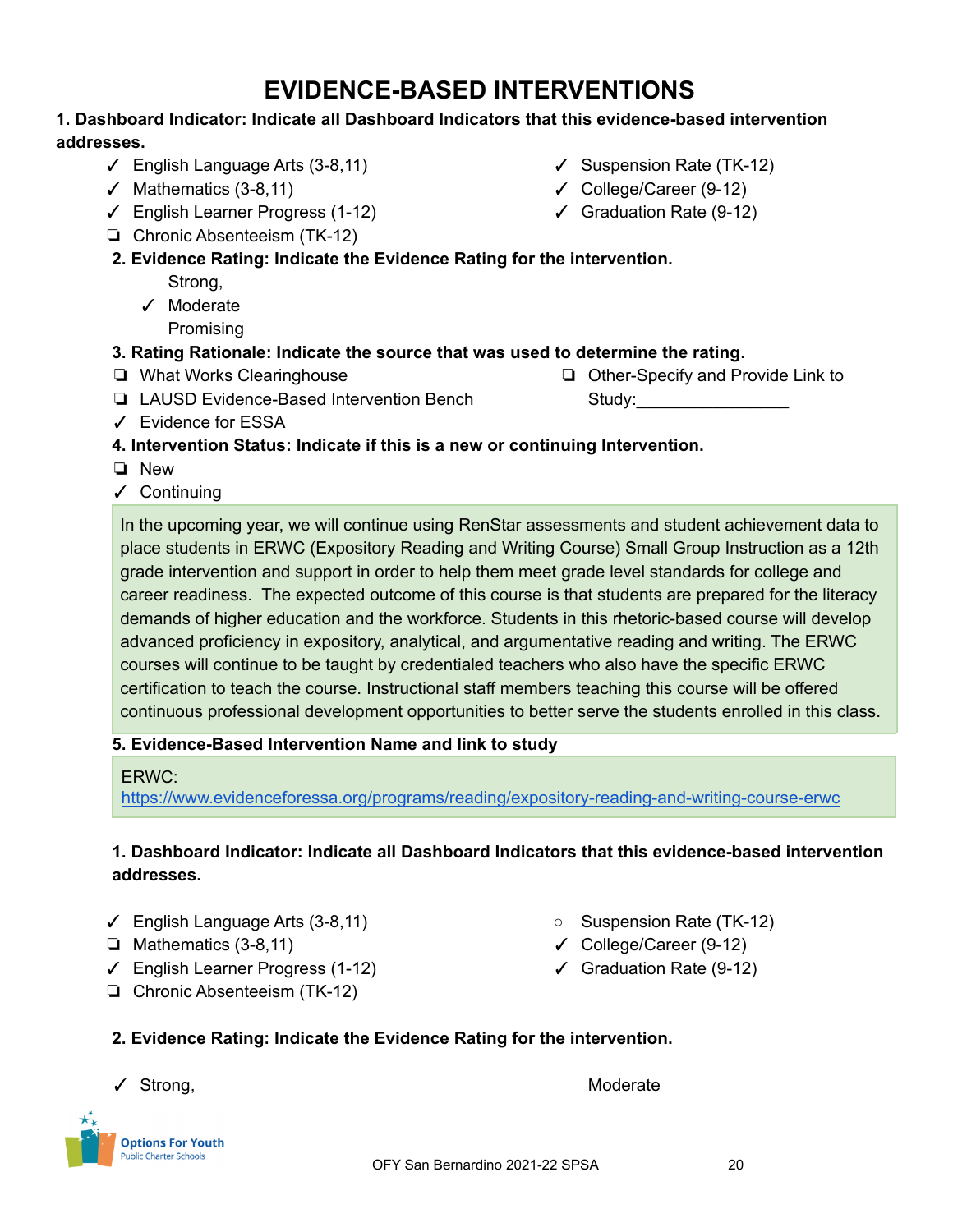# **EVIDENCE-BASED INTERVENTIONS**

#### **1. Dashboard Indicator: Indicate all Dashboard Indicators that this evidence-based intervention addresses.**

- $\checkmark$  English Language Arts (3-8,11)
- $\checkmark$  Mathematics (3-8,11)
- ✓ English Learner Progress (1-12)
- ❏ Chronic Absenteeism (TK-12)
- ✓ Suspension Rate (TK-12)
- ✓ College/Career (9-12)
- ✓ Graduation Rate (9-12)
- **2. Evidence Rating: Indicate the Evidence Rating for the intervention.**
	- Strong,
	- ✓ Moderate
		- Promising
- **3. Rating Rationale: Indicate the source that was used to determine the rating**.
- ❏ What Works Clearinghouse

❏ LAUSD Evidence-Based Intervention Bench

❏ Other-Specify and Provide Link to Study:\_\_\_\_\_\_\_\_\_\_\_\_\_\_\_\_

- ✓ Evidence for ESSA
- **4. Intervention Status: Indicate if this is a new or continuing Intervention.**
- ❏ New
- ✓ Continuing

In the upcoming year, we will continue using RenStar assessments and student achievement data to place students in ERWC (Expository Reading and Writing Course) Small Group Instruction as a 12th grade intervention and support in order to help them meet grade level standards for college and career readiness. The expected outcome of this course is that students are prepared for the literacy demands of higher education and the workforce. Students in this rhetoric-based course will develop advanced proficiency in expository, analytical, and argumentative reading and writing. The ERWC courses will continue to be taught by credentialed teachers who also have the specific ERWC certification to teach the course. Instructional staff members teaching this course will be offered continuous professional development opportunities to better serve the students enrolled in this class.

#### **5. Evidence-Based Intervention Name and link to study**

#### ERWC:

<https://www.evidenceforessa.org/programs/reading/expository-reading-and-writing-course-erwc>

#### **1. Dashboard Indicator: Indicate all Dashboard Indicators that this evidence-based intervention addresses.**

- $\checkmark$  English Language Arts (3-8,11)
- ❏ Mathematics (3-8,11)
- ✓ English Learner Progress (1-12)
- ❏ Chronic Absenteeism (TK-12)
- Suspension Rate (TK-12)
- ✓ College/Career (9-12)
- ✓ Graduation Rate (9-12)

#### **2. Evidence Rating: Indicate the Evidence Rating for the intervention.**

✓ Strong, Moderate

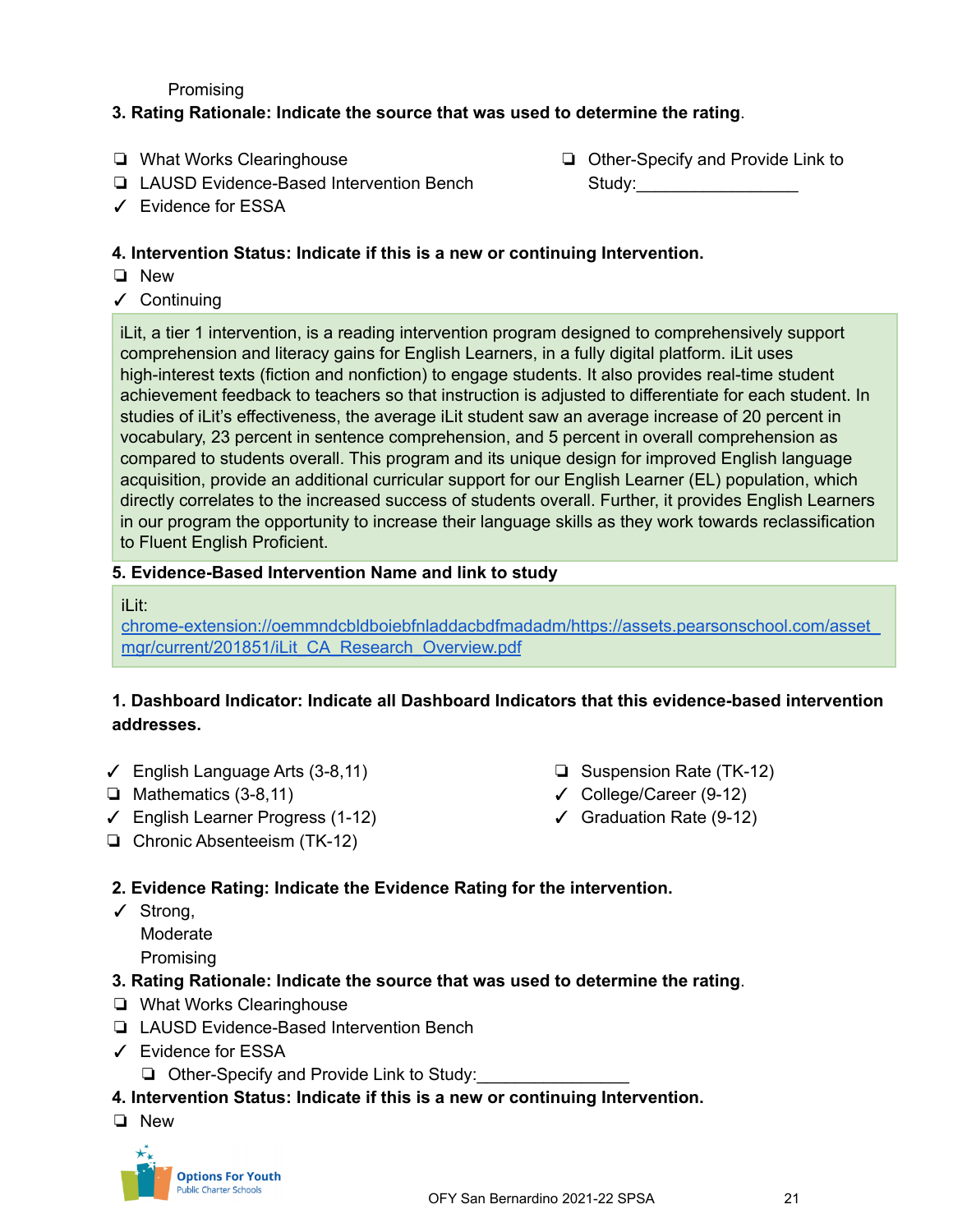Promising

#### **3. Rating Rationale: Indicate the source that was used to determine the rating**.

❏ What Works Clearinghouse

- ❏ Other-Specify and Provide Link to Study:
- ❏ LAUSD Evidence-Based Intervention Bench
- ✓ Evidence for ESSA

#### **4. Intervention Status: Indicate if this is a new or continuing Intervention.**

- ❏ New
- ✓ Continuing

iLit, a tier 1 intervention, is a reading intervention program designed to comprehensively support comprehension and literacy gains for English Learners, in a fully digital platform. iLit uses high-interest texts (fiction and nonfiction) to engage students. It also provides real-time student achievement feedback to teachers so that instruction is adjusted to differentiate for each student. In studies of iLit's effectiveness, the average iLit student saw an average increase of 20 percent in vocabulary, 23 percent in sentence comprehension, and 5 percent in overall comprehension as compared to students overall. This program and its unique design for improved English language acquisition, provide an additional curricular support for our English Learner (EL) population, which directly correlates to the increased success of students overall. Further, it provides English Learners in our program the opportunity to increase their language skills as they work towards reclassification to Fluent English Proficient.

#### **5. Evidence-Based Intervention Name and link to study**

#### iLit:

[chrome-extension://oemmndcbldboiebfnladdacbdfmadadm/https://assets.pearsonschool.com/asset\\_](https://assets.pearsonschool.com/asset_mgr/current/201851/iLit_CA_Research_Overview.pdf) [mgr/current/201851/iLit\\_CA\\_Research\\_Overview.pdf](https://assets.pearsonschool.com/asset_mgr/current/201851/iLit_CA_Research_Overview.pdf)

#### **1. Dashboard Indicator: Indicate all Dashboard Indicators that this evidence-based intervention addresses.**

- $\checkmark$  English Language Arts (3-8,11)
- ❏ Mathematics (3-8,11)
- ✓ English Learner Progress (1-12)
- ❏ Chronic Absenteeism (TK-12)
- ❏ Suspension Rate (TK-12)
- ✓ College/Career (9-12)
- $\checkmark$  Graduation Rate (9-12)

#### **2. Evidence Rating: Indicate the Evidence Rating for the intervention.**

✓ Strong,

Moderate Promising

#### **3. Rating Rationale: Indicate the source that was used to determine the rating**.

- ❏ What Works Clearinghouse
- ❏ LAUSD Evidence-Based Intervention Bench
- ✓ Evidence for ESSA
	- ❏ Other-Specify and Provide Link to Study:\_\_\_\_\_\_\_\_\_\_\_\_\_\_\_\_

#### **4. Intervention Status: Indicate if this is a new or continuing Intervention.**

❏ New

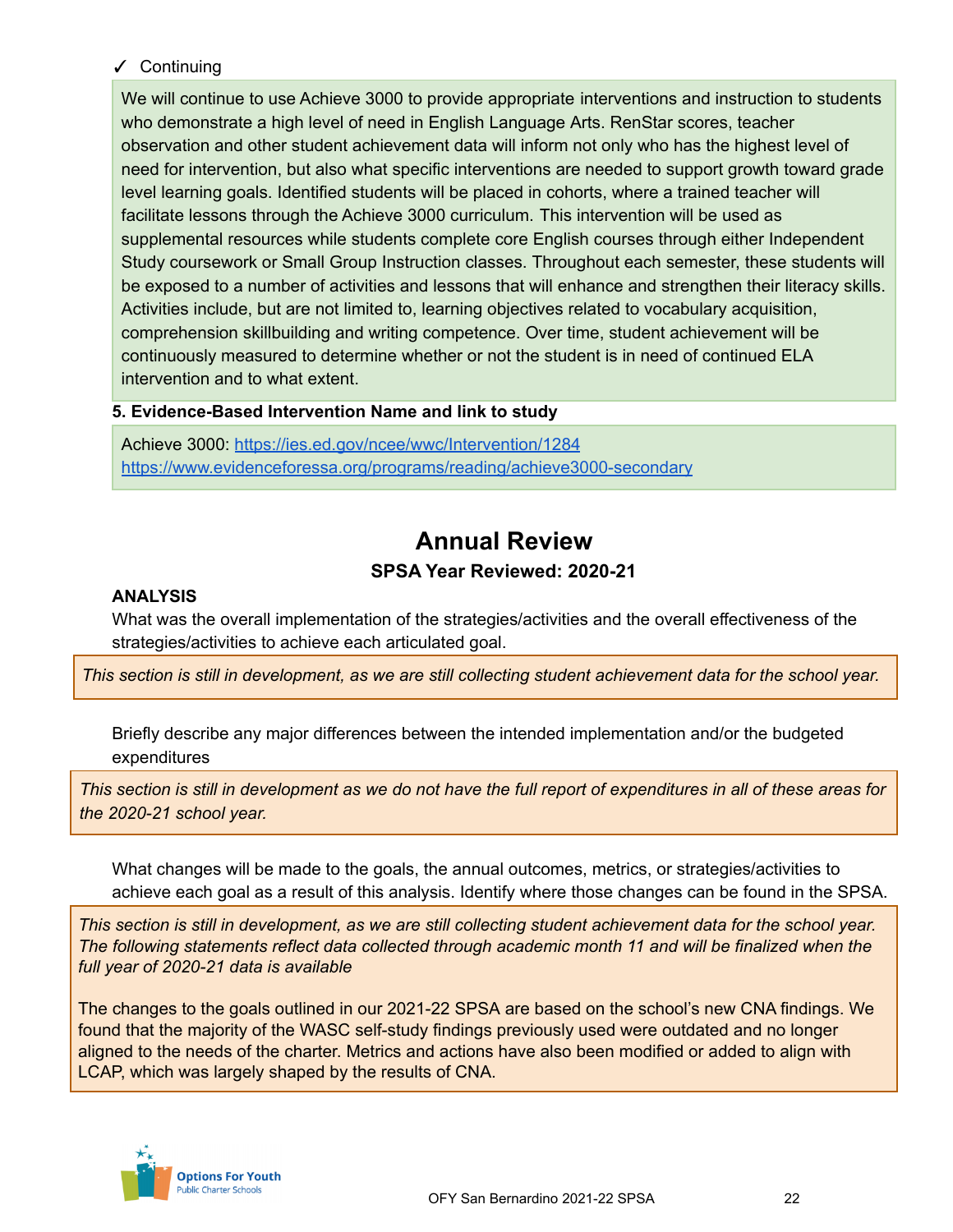#### ✓ Continuing

We will continue to use Achieve 3000 to provide appropriate interventions and instruction to students who demonstrate a high level of need in English Language Arts. RenStar scores, teacher observation and other student achievement data will inform not only who has the highest level of need for intervention, but also what specific interventions are needed to support growth toward grade level learning goals. Identified students will be placed in cohorts, where a trained teacher will facilitate lessons through the Achieve 3000 curriculum. This intervention will be used as supplemental resources while students complete core English courses through either Independent Study coursework or Small Group Instruction classes. Throughout each semester, these students will be exposed to a number of activities and lessons that will enhance and strengthen their literacy skills. Activities include, but are not limited to, learning objectives related to vocabulary acquisition, comprehension skillbuilding and writing competence. Over time, student achievement will be continuously measured to determine whether or not the student is in need of continued ELA intervention and to what extent.

#### **5. Evidence-Based Intervention Name and link to study**

Achieve 3000: <https://ies.ed.gov/ncee/wwc/Intervention/1284> <https://www.evidenceforessa.org/programs/reading/achieve3000-secondary>

# **Annual Review SPSA Year Reviewed: 2020-21**

#### **ANALYSIS**

What was the overall implementation of the strategies/activities and the overall effectiveness of the strategies/activities to achieve each articulated goal.

This section is still in development, as we are still collecting student achievement data for the school year.

Briefly describe any major differences between the intended implementation and/or the budgeted expenditures

This section is still in development as we do not have the full report of expenditures in all of these areas for *the 2020-21 school year.*

What changes will be made to the goals, the annual outcomes, metrics, or strategies/activities to achieve each goal as a result of this analysis. Identify where those changes can be found in the SPSA.

This section is still in development, as we are still collecting student achievement data for the school year. *The following statements reflect data collected through academic month 11 and will be finalized when the full year of 2020-21 data is available*

The changes to the goals outlined in our 2021-22 SPSA are based on the school's new CNA findings. We found that the majority of the WASC self-study findings previously used were outdated and no longer aligned to the needs of the charter. Metrics and actions have also been modified or added to align with LCAP, which was largely shaped by the results of CNA.

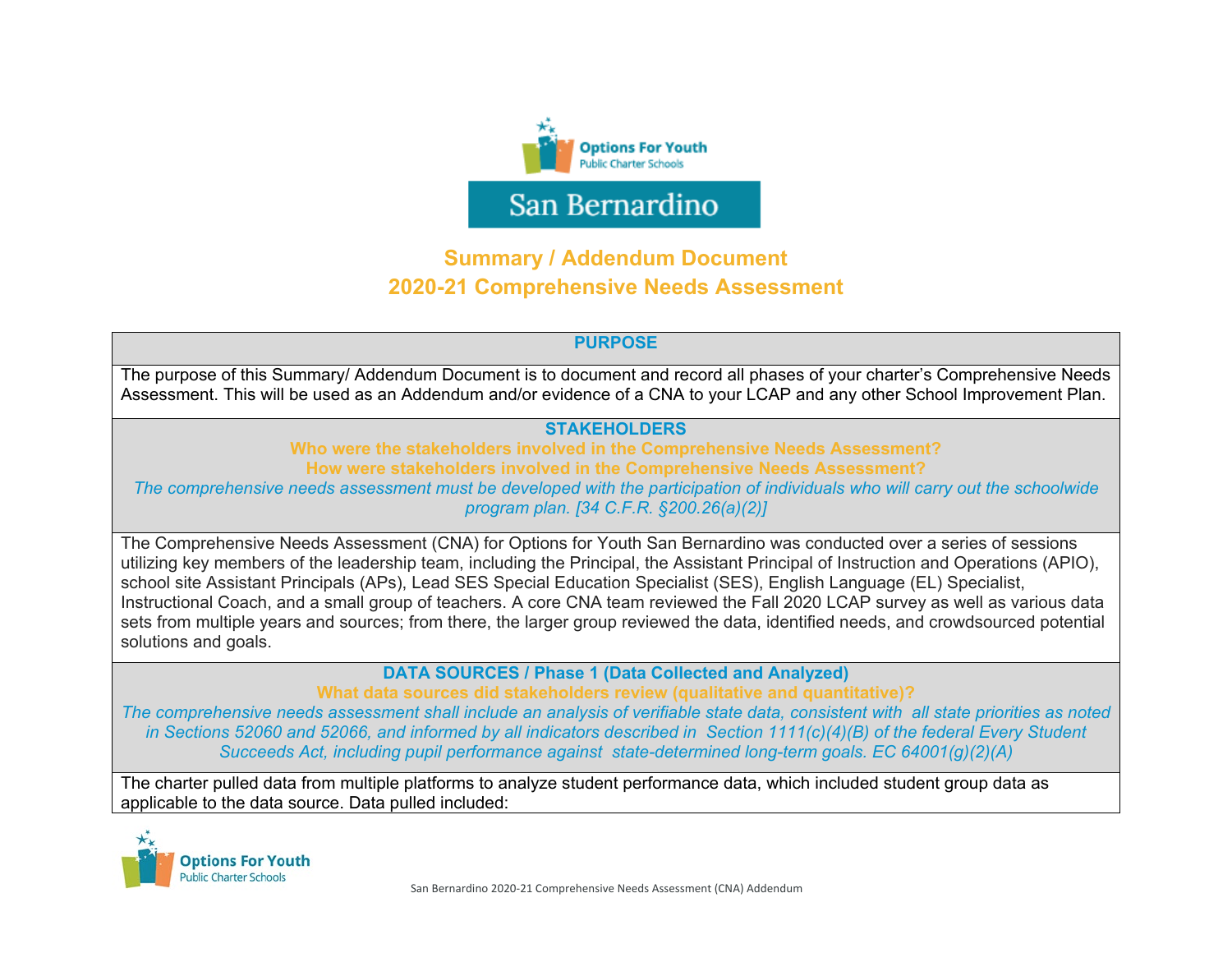

# **Summary / Addendum Document 2020-21 Comprehensive Needs Assessment**

#### **PURPOSE**

The purpose of this Summary/ Addendum Document is to document and record all phases of your charter's Comprehensive Needs Assessment. This will be used as an Addendum and/or evidence of a CNA to your LCAP and any other School Improvement Plan.

#### **STAKEHOLDERS**

**Who were the stakeholders involved in the Comprehensive Needs Assessment? How were stakeholders involved in the Comprehensive Needs Assessment?**

*The comprehensive needs assessment must be developed with the participation of individuals who will carry out the schoolwide program plan. [34 C.F.R. §200.26(a)(2)]*

The Comprehensive Needs Assessment (CNA) for Options for Youth San Bernardino was conducted over a series of sessions utilizing key members of the leadership team, including the Principal, the Assistant Principal of Instruction and Operations (APIO), school site Assistant Principals (APs), Lead SES Special Education Specialist (SES), English Language (EL) Specialist, Instructional Coach, and a small group of teachers. A core CNA team reviewed the Fall 2020 LCAP survey as well as various data sets from multiple years and sources; from there, the larger group reviewed the data, identified needs, and crowdsourced potential solutions and goals.

**DATA SOURCES / Phase 1 (Data Collected and Analyzed)**

**What data sources did stakeholders review (qualitative and quantitative)?**

*The comprehensive needs assessment shall include an analysis of verifiable state data, consistent with all state priorities as noted in Sections 52060 and 52066, and informed by all indicators described in Section 1111(c)(4)(B) of the federal Every Student Succeeds Act, including pupil performance against state-determined long-term goals. EC 64001(g)(2)(A)*

The charter pulled data from multiple platforms to analyze student performance data, which included student group data as applicable to the data source. Data pulled included:

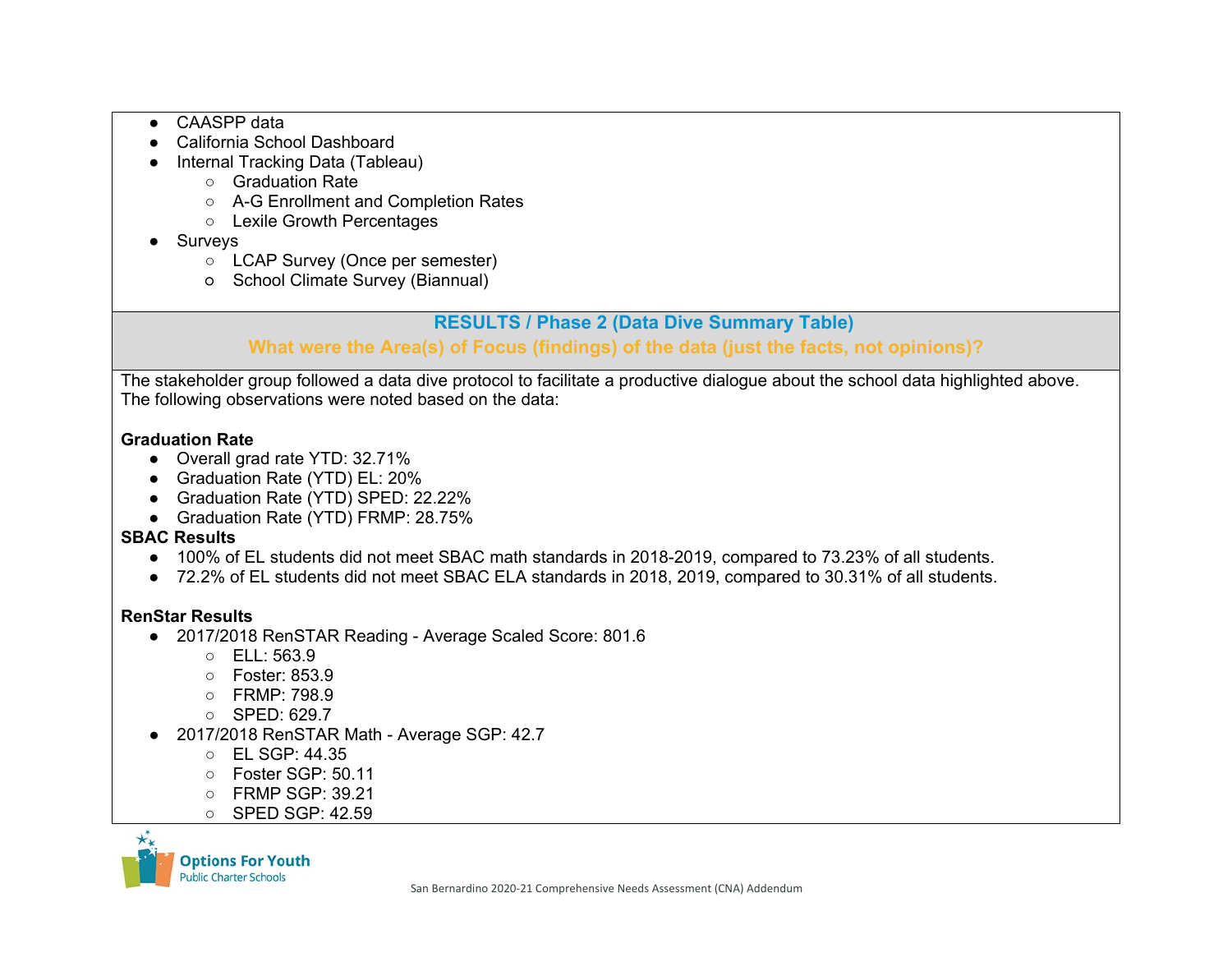- CAASPP data
- California School Dashboard
- Internal Tracking Data (Tableau)
	- Graduation Rate
	- A-G Enrollment and Completion Rates
	- Lexile Growth Percentages
- Surveys
	- LCAP Survey (Once per semester)
	- School Climate Survey (Biannual)

# **RESULTS / Phase 2 (Data Dive Summary Table)**

# **What were the Area(s) of Focus (findings) of the data (just the facts, not opinions)?**

The stakeholder group followed a data dive protocol to facilitate a productive dialogue about the school data highlighted above. The following observations were noted based on the data:

#### **Graduation Rate**

- Overall grad rate YTD: 32.71%
- Graduation Rate (YTD) EL: 20%
- Graduation Rate (YTD) SPED: 22.22%
- Graduation Rate (YTD) FRMP: 28.75%

#### **SBAC Results**

- 100% of EL students did not meet SBAC math standards in 2018-2019, compared to 73.23% of all students.
- 72.2% of EL students did not meet SBAC ELA standards in 2018, 2019, compared to 30.31% of all students.

### **RenStar Results**

- 2017/2018 RenSTAR Reading Average Scaled Score: 801.6
	- ELL: 563.9
	- Foster: 853.9
	- FRMP: 798.9
	- SPED: 629.7
- 2017/2018 RenSTAR Math Average SGP: 42.7
	- EL SGP: 44.35
	- Foster SGP: 50.11
	- FRMP SGP: 39.21
	- SPED SGP: 42.59

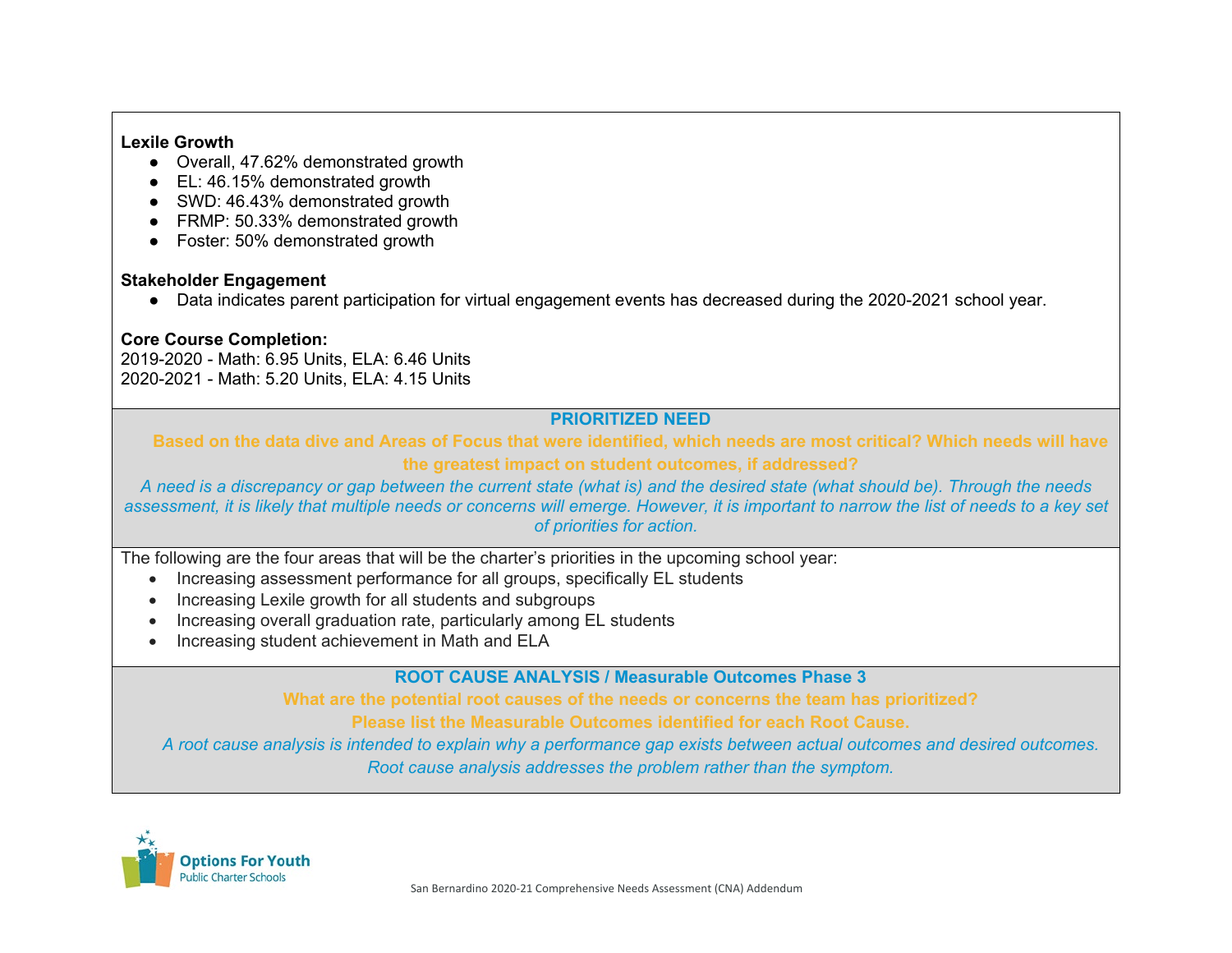#### **Lexile Growth**

- Overall, 47.62% demonstrated growth
- EL: 46.15% demonstrated growth
- SWD: 46.43% demonstrated growth
- FRMP: 50.33% demonstrated growth
- Foster: 50% demonstrated growth

#### **Stakeholder Engagement**

● Data indicates parent participation for virtual engagement events has decreased during the 2020-2021 school year.

#### **Core Course Completion:**

2019-2020 - Math: 6.95 Units, ELA: 6.46 Units 2020-2021 - Math: 5.20 Units, ELA: 4.15 Units

#### **PRIORITIZED NEED**

**Based on the data dive and Areas of Focus that were identified, which needs are most critical? Which needs will have the greatest impact on student outcomes, if addressed?**

*A need is a discrepancy or gap between the current state (what is) and the desired state (what should be). Through the needs*  assessment, it is likely that multiple needs or concerns will emerge. However, it is important to narrow the list of needs to a key set *of priorities for action.*

The following are the four areas that will be the charter's priorities in the upcoming school year:

- Increasing assessment performance for all groups, specifically EL students
- Increasing Lexile growth for all students and subgroups
- Increasing overall graduation rate, particularly among EL students
- Increasing student achievement in Math and ELA

**ROOT CAUSE ANALYSIS / Measurable Outcomes Phase 3**

**What are the potential root causes of the needs or concerns the team has prioritized? Please list the Measurable Outcomes identified for each Root Cause.**

*A root cause analysis is intended to explain why a performance gap exists between actual outcomes and desired outcomes. Root cause analysis addresses the problem rather than the symptom.*

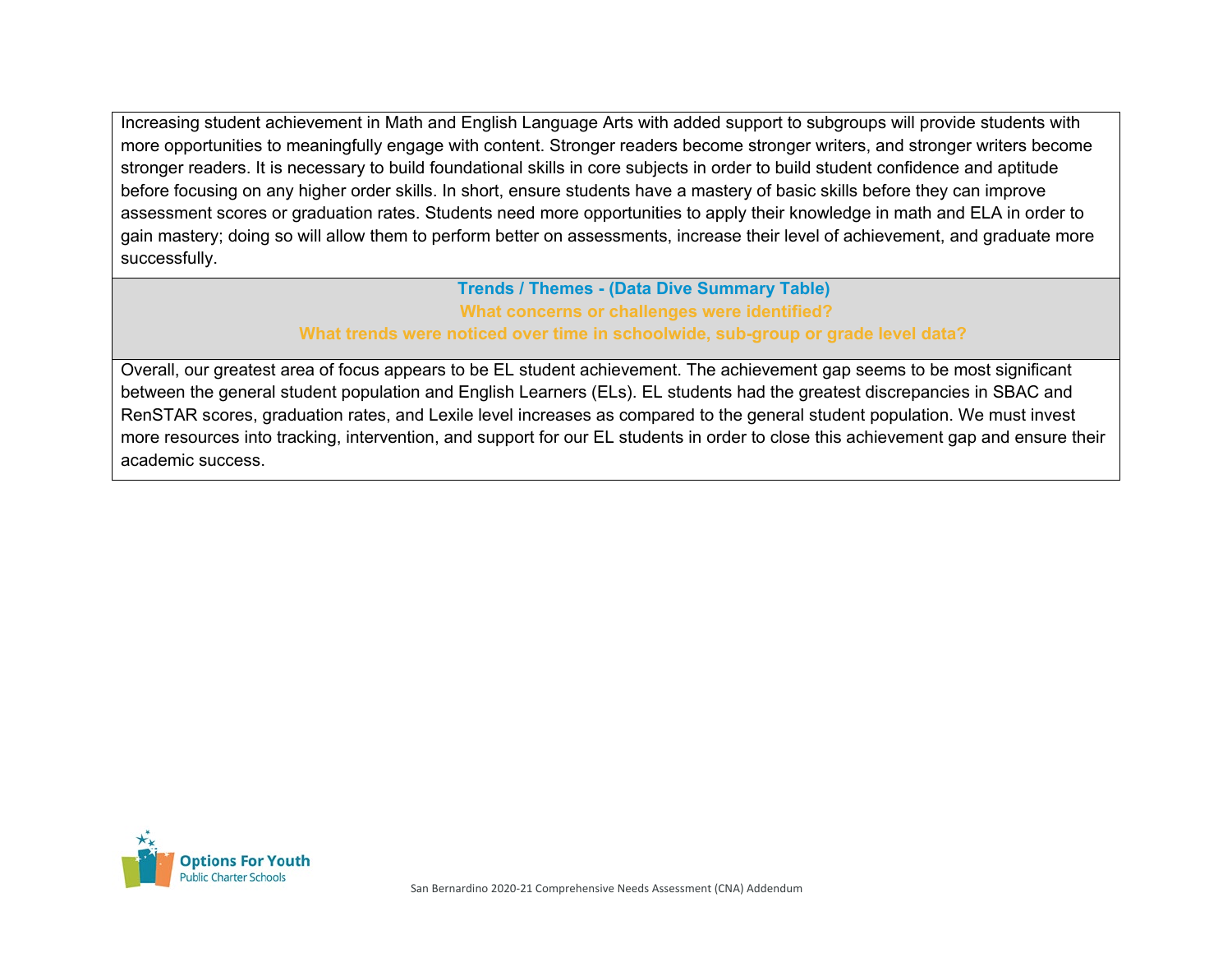Increasing student achievement in Math and English Language Arts with added support to subgroups will provide students with more opportunities to meaningfully engage with content. Stronger readers become stronger writers, and stronger writers become stronger readers. It is necessary to build foundational skills in core subjects in order to build student confidence and aptitude before focusing on any higher order skills. In short, ensure students have a mastery of basic skills before they can improve assessment scores or graduation rates. Students need more opportunities to apply their knowledge in math and ELA in order to gain mastery; doing so will allow them to perform better on assessments, increase their level of achievement, and graduate more successfully.

#### **Trends / Themes - (Data Dive Summary Table) What concerns or challenges were identified?**

#### **What trends were noticed over time in schoolwide, sub-group or grade level data?**

Overall, our greatest area of focus appears to be EL student achievement. The achievement gap seems to be most significant between the general student population and English Learners (ELs). EL students had the greatest discrepancies in SBAC and RenSTAR scores, graduation rates, and Lexile level increases as compared to the general student population. We must invest more resources into tracking, intervention, and support for our EL students in order to close this achievement gap and ensure their academic success.

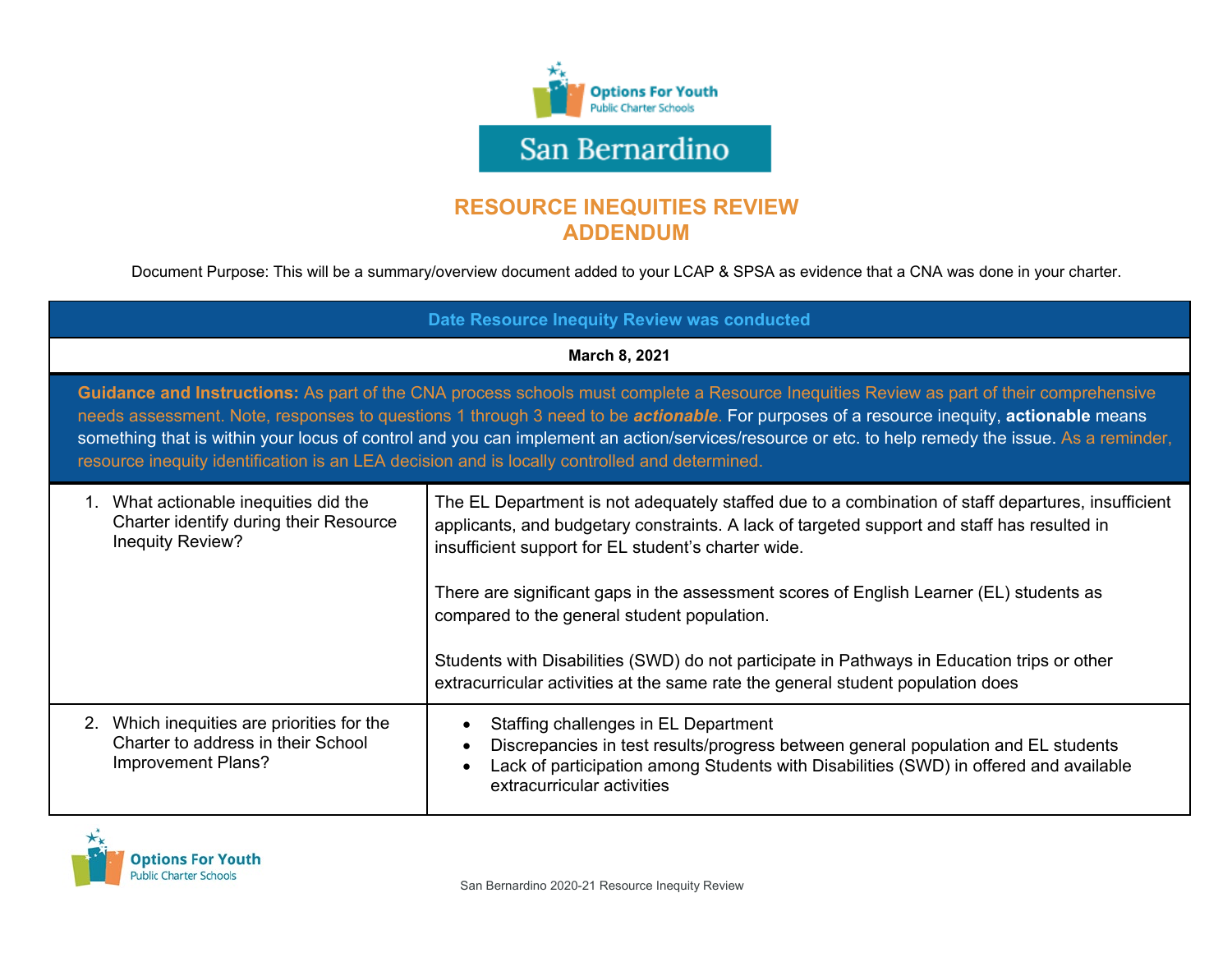

# **RESOURCE INEQUITIES REVIEW ADDENDUM**

Document Purpose: This will be a summary/overview document added to your LCAP & SPSA as evidence that a CNA was done in your charter.

| Date Resource Inequity Review was conducted                                                                                                                                                                                                                                                                                                                                                                                                                                                                                                      |                                                                                                                                                                                                                                                                                                                                                                                                                                                                                                                                                                                      |  |  |
|--------------------------------------------------------------------------------------------------------------------------------------------------------------------------------------------------------------------------------------------------------------------------------------------------------------------------------------------------------------------------------------------------------------------------------------------------------------------------------------------------------------------------------------------------|--------------------------------------------------------------------------------------------------------------------------------------------------------------------------------------------------------------------------------------------------------------------------------------------------------------------------------------------------------------------------------------------------------------------------------------------------------------------------------------------------------------------------------------------------------------------------------------|--|--|
| March 8, 2021                                                                                                                                                                                                                                                                                                                                                                                                                                                                                                                                    |                                                                                                                                                                                                                                                                                                                                                                                                                                                                                                                                                                                      |  |  |
| Guidance and Instructions: As part of the CNA process schools must complete a Resource Inequities Review as part of their comprehensive<br>needs assessment. Note, responses to questions 1 through 3 need to be <i>actionable</i> . For purposes of a resource inequity, actionable means<br>something that is within your locus of control and you can implement an action/services/resource or etc. to help remedy the issue. As a reminder,<br>resource inequity identification is an LEA decision and is locally controlled and determined. |                                                                                                                                                                                                                                                                                                                                                                                                                                                                                                                                                                                      |  |  |
| 1. What actionable inequities did the<br>Charter identify during their Resource<br>Inequity Review?                                                                                                                                                                                                                                                                                                                                                                                                                                              | The EL Department is not adequately staffed due to a combination of staff departures, insufficient<br>applicants, and budgetary constraints. A lack of targeted support and staff has resulted in<br>insufficient support for EL student's charter wide.<br>There are significant gaps in the assessment scores of English Learner (EL) students as<br>compared to the general student population.<br>Students with Disabilities (SWD) do not participate in Pathways in Education trips or other<br>extracurricular activities at the same rate the general student population does |  |  |
| 2. Which inequities are priorities for the<br>Charter to address in their School<br>Improvement Plans?                                                                                                                                                                                                                                                                                                                                                                                                                                           | Staffing challenges in EL Department<br>Discrepancies in test results/progress between general population and EL students<br>Lack of participation among Students with Disabilities (SWD) in offered and available<br>extracurricular activities                                                                                                                                                                                                                                                                                                                                     |  |  |